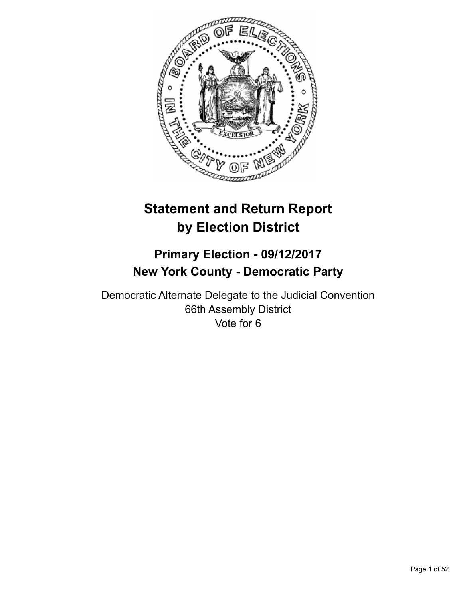

# **Statement and Return Report by Election District**

# **Primary Election - 09/12/2017 New York County - Democratic Party**

Democratic Alternate Delegate to the Judicial Convention 66th Assembly District Vote for 6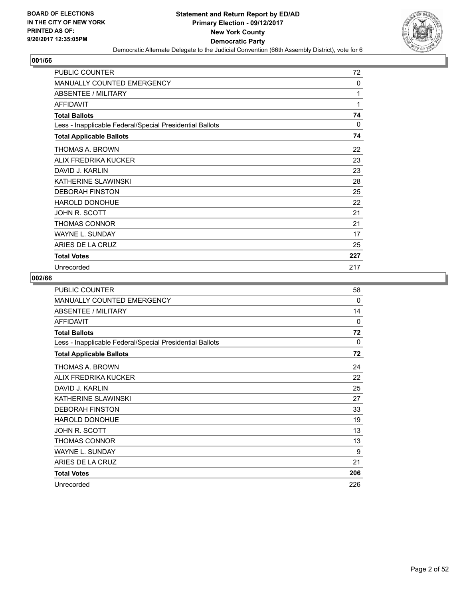

| <b>PUBLIC COUNTER</b>                                    | 72       |
|----------------------------------------------------------|----------|
| <b>MANUALLY COUNTED EMERGENCY</b>                        | 0        |
| ABSENTEE / MILITARY                                      | 1        |
| <b>AFFIDAVIT</b>                                         | 1        |
| <b>Total Ballots</b>                                     | 74       |
| Less - Inapplicable Federal/Special Presidential Ballots | $\Omega$ |
| <b>Total Applicable Ballots</b>                          | 74       |
| THOMAS A. BROWN                                          | 22       |
| ALIX FREDRIKA KUCKER                                     | 23       |
| DAVID J. KARLIN                                          | 23       |
| KATHERINE SLAWINSKI                                      | 28       |
| <b>DEBORAH FINSTON</b>                                   | 25       |
| <b>HAROLD DONOHUE</b>                                    | 22       |
| JOHN R. SCOTT                                            | 21       |
| <b>THOMAS CONNOR</b>                                     | 21       |
| WAYNE L. SUNDAY                                          | 17       |
| ARIES DE LA CRUZ                                         | 25       |
| <b>Total Votes</b>                                       | 227      |
| Unrecorded                                               | 217      |

| <b>PUBLIC COUNTER</b>                                    | 58       |
|----------------------------------------------------------|----------|
| <b>MANUALLY COUNTED EMERGENCY</b>                        | $\Omega$ |
| <b>ABSENTEE / MILITARY</b>                               | 14       |
| <b>AFFIDAVIT</b>                                         | $\Omega$ |
| <b>Total Ballots</b>                                     | 72       |
| Less - Inapplicable Federal/Special Presidential Ballots | 0        |
| <b>Total Applicable Ballots</b>                          | 72       |
| THOMAS A. BROWN                                          | 24       |
| ALIX FREDRIKA KUCKER                                     | 22       |
| DAVID J. KARLIN                                          | 25       |
| KATHERINE SLAWINSKI                                      | 27       |
| <b>DEBORAH FINSTON</b>                                   | 33       |
| <b>HAROLD DONOHUE</b>                                    | 19       |
| JOHN R. SCOTT                                            | 13       |
| THOMAS CONNOR                                            | 13       |
| <b>WAYNE L. SUNDAY</b>                                   | 9        |
| ARIES DE LA CRUZ                                         | 21       |
| <b>Total Votes</b>                                       | 206      |
| Unrecorded                                               | 226      |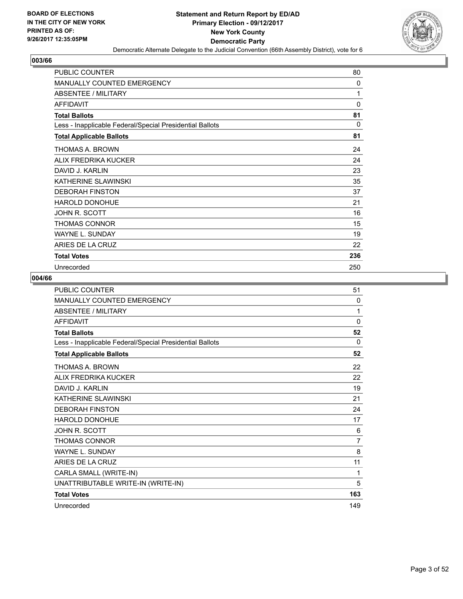

| <b>PUBLIC COUNTER</b>                                    | 80       |
|----------------------------------------------------------|----------|
| <b>MANUALLY COUNTED EMERGENCY</b>                        | $\Omega$ |
| <b>ABSENTEE / MILITARY</b>                               | 1        |
| <b>AFFIDAVIT</b>                                         | $\Omega$ |
| <b>Total Ballots</b>                                     | 81       |
| Less - Inapplicable Federal/Special Presidential Ballots | $\Omega$ |
| <b>Total Applicable Ballots</b>                          | 81       |
| THOMAS A. BROWN                                          | 24       |
| ALIX FREDRIKA KUCKER                                     | 24       |
| DAVID J. KARLIN                                          | 23       |
| KATHERINE SLAWINSKI                                      | 35       |
| <b>DEBORAH FINSTON</b>                                   | 37       |
| <b>HAROLD DONOHUE</b>                                    | 21       |
| JOHN R. SCOTT                                            | 16       |
| THOMAS CONNOR                                            | 15       |
| <b>WAYNE L. SUNDAY</b>                                   | 19       |
| ARIES DE LA CRUZ                                         | 22       |
| <b>Total Votes</b>                                       | 236      |
| Unrecorded                                               | 250      |

| <b>PUBLIC COUNTER</b>                                    | 51             |
|----------------------------------------------------------|----------------|
| <b>MANUALLY COUNTED EMERGENCY</b>                        | 0              |
| <b>ABSENTEE / MILITARY</b>                               | 1              |
| <b>AFFIDAVIT</b>                                         | $\mathbf{0}$   |
| <b>Total Ballots</b>                                     | 52             |
| Less - Inapplicable Federal/Special Presidential Ballots | $\Omega$       |
| <b>Total Applicable Ballots</b>                          | 52             |
| THOMAS A. BROWN                                          | 22             |
| ALIX FREDRIKA KUCKER                                     | 22             |
| DAVID J. KARI IN                                         | 19             |
| KATHERINE SLAWINSKI                                      | 21             |
| <b>DEBORAH FINSTON</b>                                   | 24             |
| HAROLD DONOHUE                                           | 17             |
| JOHN R. SCOTT                                            | 6              |
| <b>THOMAS CONNOR</b>                                     | $\overline{7}$ |
| <b>WAYNE L. SUNDAY</b>                                   | 8              |
| ARIES DE LA CRUZ                                         | 11             |
| CARLA SMALL (WRITE-IN)                                   | 1              |
| UNATTRIBUTABLE WRITE-IN (WRITE-IN)                       | 5              |
| <b>Total Votes</b>                                       | 163            |
| Unrecorded                                               | 149            |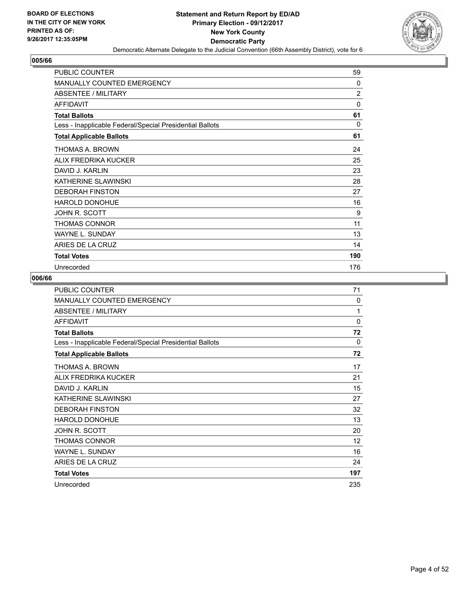

| <b>PUBLIC COUNTER</b>                                    | 59             |
|----------------------------------------------------------|----------------|
| <b>MANUALLY COUNTED EMERGENCY</b>                        | $\Omega$       |
| <b>ABSENTEE / MILITARY</b>                               | $\overline{2}$ |
| <b>AFFIDAVIT</b>                                         | $\Omega$       |
| <b>Total Ballots</b>                                     | 61             |
| Less - Inapplicable Federal/Special Presidential Ballots | 0              |
| <b>Total Applicable Ballots</b>                          | 61             |
| THOMAS A. BROWN                                          | 24             |
| ALIX FREDRIKA KUCKER                                     | 25             |
| DAVID J. KARLIN                                          | 23             |
| KATHERINE SLAWINSKI                                      | 28             |
| <b>DEBORAH FINSTON</b>                                   | 27             |
| HAROLD DONOHUE                                           | 16             |
| JOHN R. SCOTT                                            | 9              |
| <b>THOMAS CONNOR</b>                                     | 11             |
| <b>WAYNE L. SUNDAY</b>                                   | 13             |
| ARIES DE LA CRUZ                                         | 14             |
| <b>Total Votes</b>                                       | 190            |
| Unrecorded                                               | 176            |

| <b>PUBLIC COUNTER</b>                                    | 71       |
|----------------------------------------------------------|----------|
| <b>MANUALLY COUNTED EMERGENCY</b>                        | 0        |
| <b>ABSENTEE / MILITARY</b>                               | 1        |
| <b>AFFIDAVIT</b>                                         | $\Omega$ |
| <b>Total Ballots</b>                                     | 72       |
| Less - Inapplicable Federal/Special Presidential Ballots | 0        |
| <b>Total Applicable Ballots</b>                          | 72       |
| THOMAS A. BROWN                                          | 17       |
| ALIX FREDRIKA KUCKER                                     | 21       |
| DAVID J. KARLIN                                          | 15       |
| KATHERINE SLAWINSKI                                      | 27       |
| <b>DEBORAH FINSTON</b>                                   | 32       |
| <b>HAROLD DONOHUE</b>                                    | 13       |
| JOHN R. SCOTT                                            | 20       |
| <b>THOMAS CONNOR</b>                                     | 12       |
| <b>WAYNE L. SUNDAY</b>                                   | 16       |
| ARIES DE LA CRUZ                                         | 24       |
| <b>Total Votes</b>                                       | 197      |
| Unrecorded                                               | 235      |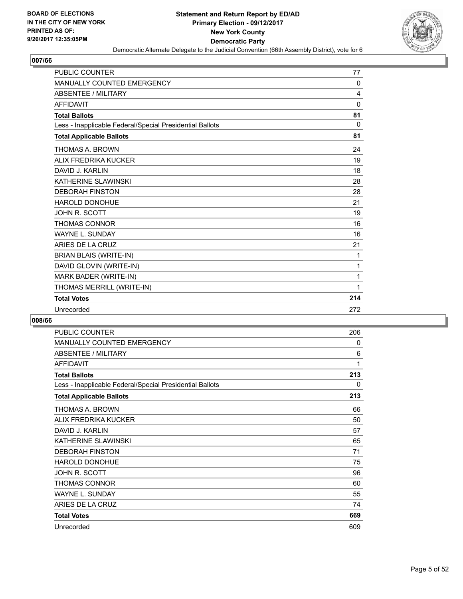

| PUBLIC COUNTER                                           | 77       |
|----------------------------------------------------------|----------|
| MANUALLY COUNTED EMERGENCY                               | 0        |
| <b>ABSENTEE / MILITARY</b>                               | 4        |
| <b>AFFIDAVIT</b>                                         | $\Omega$ |
| <b>Total Ballots</b>                                     | 81       |
| Less - Inapplicable Federal/Special Presidential Ballots | $\Omega$ |
| <b>Total Applicable Ballots</b>                          | 81       |
| THOMAS A. BROWN                                          | 24       |
| ALIX FREDRIKA KUCKER                                     | 19       |
| DAVID J. KARLIN                                          | 18       |
| KATHERINE SLAWINSKI                                      | 28       |
| <b>DEBORAH FINSTON</b>                                   | 28       |
| <b>HAROLD DONOHUE</b>                                    | 21       |
| JOHN R. SCOTT                                            | 19       |
| <b>THOMAS CONNOR</b>                                     | 16       |
| <b>WAYNE L. SUNDAY</b>                                   | 16       |
| ARIES DE LA CRUZ                                         | 21       |
| BRIAN BLAIS (WRITE-IN)                                   | 1        |
| DAVID GLOVIN (WRITE-IN)                                  | 1        |
| MARK BADER (WRITE-IN)                                    | 1        |
| THOMAS MERRILL (WRITE-IN)                                | 1        |
| <b>Total Votes</b>                                       | 214      |
| Unrecorded                                               | 272      |

| <b>PUBLIC COUNTER</b>                                    | 206 |
|----------------------------------------------------------|-----|
| <b>MANUALLY COUNTED EMERGENCY</b>                        | 0   |
| ABSENTEE / MILITARY                                      | 6   |
| <b>AFFIDAVIT</b>                                         | 1   |
| <b>Total Ballots</b>                                     | 213 |
| Less - Inapplicable Federal/Special Presidential Ballots | 0   |
| <b>Total Applicable Ballots</b>                          | 213 |
| THOMAS A. BROWN                                          | 66  |
| ALIX FREDRIKA KUCKER                                     | 50  |
| DAVID J. KARLIN                                          | 57  |
| KATHERINE SLAWINSKI                                      | 65  |
| <b>DEBORAH FINSTON</b>                                   | 71  |
| HAROLD DONOHUE                                           | 75  |
| JOHN R. SCOTT                                            | 96  |
| <b>THOMAS CONNOR</b>                                     | 60  |
| <b>WAYNE L. SUNDAY</b>                                   | 55  |
| ARIES DE LA CRUZ                                         | 74  |
| <b>Total Votes</b>                                       | 669 |
| Unrecorded                                               | 609 |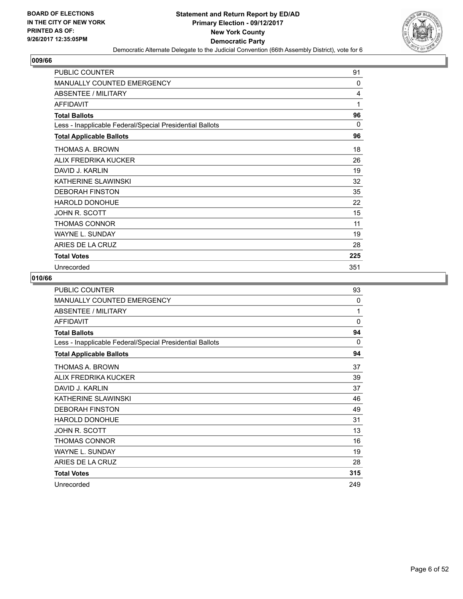

| <b>PUBLIC COUNTER</b>                                    | 91       |
|----------------------------------------------------------|----------|
| <b>MANUALLY COUNTED EMERGENCY</b>                        | $\Omega$ |
| <b>ABSENTEE / MILITARY</b>                               | 4        |
| <b>AFFIDAVIT</b>                                         | 1        |
| <b>Total Ballots</b>                                     | 96       |
| Less - Inapplicable Federal/Special Presidential Ballots | $\Omega$ |
| <b>Total Applicable Ballots</b>                          | 96       |
| THOMAS A. BROWN                                          | 18       |
| ALIX FREDRIKA KUCKER                                     | 26       |
| DAVID J. KARLIN                                          | 19       |
| KATHERINE SLAWINSKI                                      | 32       |
| <b>DEBORAH FINSTON</b>                                   | 35       |
| <b>HAROLD DONOHUE</b>                                    | 22       |
| JOHN R. SCOTT                                            | 15       |
| THOMAS CONNOR                                            | 11       |
| <b>WAYNE L. SUNDAY</b>                                   | 19       |
| ARIES DE LA CRUZ                                         | 28       |
| <b>Total Votes</b>                                       | 225      |
| Unrecorded                                               | 351      |

| <b>PUBLIC COUNTER</b>                                    | 93       |
|----------------------------------------------------------|----------|
| <b>MANUALLY COUNTED EMERGENCY</b>                        | 0        |
| <b>ABSENTEE / MILITARY</b>                               | 1        |
| <b>AFFIDAVIT</b>                                         | $\Omega$ |
| <b>Total Ballots</b>                                     | 94       |
| Less - Inapplicable Federal/Special Presidential Ballots | 0        |
| <b>Total Applicable Ballots</b>                          | 94       |
| THOMAS A. BROWN                                          | 37       |
| ALIX FREDRIKA KUCKER                                     | 39       |
| DAVID J. KARLIN                                          | 37       |
| KATHERINE SLAWINSKI                                      | 46       |
| <b>DEBORAH FINSTON</b>                                   | 49       |
| HAROLD DONOHUE                                           | 31       |
| JOHN R. SCOTT                                            | 13       |
| <b>THOMAS CONNOR</b>                                     | 16       |
| <b>WAYNE L. SUNDAY</b>                                   | 19       |
| ARIES DE LA CRUZ                                         | 28       |
| <b>Total Votes</b>                                       | 315      |
| Unrecorded                                               | 249      |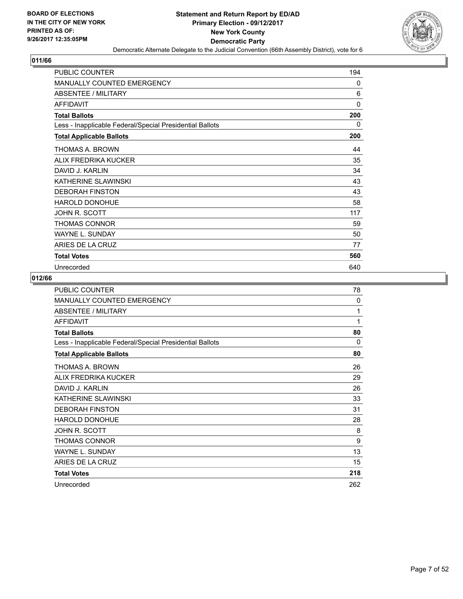

| <b>PUBLIC COUNTER</b>                                    | 194 |
|----------------------------------------------------------|-----|
| <b>MANUALLY COUNTED EMERGENCY</b>                        | 0   |
| <b>ABSENTEE / MILITARY</b>                               | 6   |
| <b>AFFIDAVIT</b>                                         | 0   |
| <b>Total Ballots</b>                                     | 200 |
| Less - Inapplicable Federal/Special Presidential Ballots | 0   |
| <b>Total Applicable Ballots</b>                          | 200 |
| THOMAS A. BROWN                                          | 44  |
| ALIX FREDRIKA KUCKER                                     | 35  |
| DAVID J. KARLIN                                          | 34  |
| KATHERINE SLAWINSKI                                      | 43  |
| <b>DEBORAH FINSTON</b>                                   | 43  |
| <b>HAROLD DONOHUE</b>                                    | 58  |
| JOHN R. SCOTT                                            | 117 |
| <b>THOMAS CONNOR</b>                                     | 59  |
| WAYNE L. SUNDAY                                          | 50  |
| ARIES DE LA CRUZ                                         | 77  |
| <b>Total Votes</b>                                       | 560 |
| Unrecorded                                               | 640 |

| <b>PUBLIC COUNTER</b>                                    | 78  |
|----------------------------------------------------------|-----|
| <b>MANUALLY COUNTED EMERGENCY</b>                        | 0   |
| ABSENTEE / MILITARY                                      | 1   |
| <b>AFFIDAVIT</b>                                         | 1   |
| <b>Total Ballots</b>                                     | 80  |
| Less - Inapplicable Federal/Special Presidential Ballots | 0   |
| <b>Total Applicable Ballots</b>                          | 80  |
| THOMAS A. BROWN                                          | 26  |
| ALIX FREDRIKA KUCKER                                     | 29  |
| DAVID J. KARLIN                                          | 26  |
| KATHERINE SLAWINSKI                                      | 33  |
| <b>DEBORAH FINSTON</b>                                   | 31  |
| <b>HAROLD DONOHUE</b>                                    | 28  |
| JOHN R. SCOTT                                            | 8   |
| THOMAS CONNOR                                            | 9   |
| <b>WAYNE L. SUNDAY</b>                                   | 13  |
| ARIES DE LA CRUZ                                         | 15  |
| <b>Total Votes</b>                                       | 218 |
| Unrecorded                                               | 262 |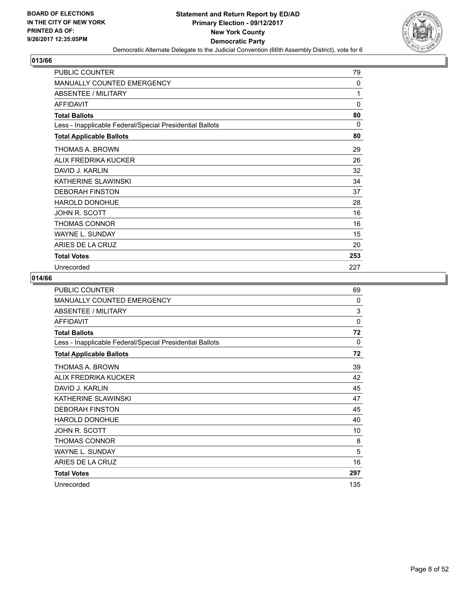

| <b>PUBLIC COUNTER</b>                                    | 79           |
|----------------------------------------------------------|--------------|
| <b>MANUALLY COUNTED EMERGENCY</b>                        | $\mathbf{0}$ |
| ABSENTEE / MILITARY                                      | 1            |
| <b>AFFIDAVIT</b>                                         | 0            |
| <b>Total Ballots</b>                                     | 80           |
| Less - Inapplicable Federal/Special Presidential Ballots | $\Omega$     |
| <b>Total Applicable Ballots</b>                          | 80           |
| THOMAS A. BROWN                                          | 29           |
| ALIX FREDRIKA KUCKER                                     | 26           |
| DAVID J. KARLIN                                          | 32           |
| KATHERINE SLAWINSKI                                      | 34           |
| <b>DEBORAH FINSTON</b>                                   | 37           |
| <b>HAROLD DONOHUE</b>                                    | 28           |
| JOHN R. SCOTT                                            | 16           |
| <b>THOMAS CONNOR</b>                                     | 16           |
| WAYNE L. SUNDAY                                          | 15           |
| ARIES DE LA CRUZ                                         | 20           |
| <b>Total Votes</b>                                       | 253          |
| Unrecorded                                               | 227          |

| <b>PUBLIC COUNTER</b>                                    | 69       |
|----------------------------------------------------------|----------|
| <b>MANUALLY COUNTED EMERGENCY</b>                        | $\Omega$ |
| <b>ABSENTEE / MILITARY</b>                               | 3        |
| <b>AFFIDAVIT</b>                                         | $\Omega$ |
| <b>Total Ballots</b>                                     | 72       |
| Less - Inapplicable Federal/Special Presidential Ballots | 0        |
| <b>Total Applicable Ballots</b>                          | 72       |
| THOMAS A. BROWN                                          | 39       |
| ALIX FREDRIKA KUCKER                                     | 42       |
| DAVID J. KARLIN                                          | 45       |
| KATHERINE SLAWINSKI                                      | 47       |
| <b>DEBORAH FINSTON</b>                                   | 45       |
| HAROLD DONOHUE                                           | 40       |
| JOHN R. SCOTT                                            | 10       |
| <b>THOMAS CONNOR</b>                                     | 8        |
| <b>WAYNE L. SUNDAY</b>                                   | 5        |
| ARIES DE LA CRUZ                                         | 16       |
| <b>Total Votes</b>                                       | 297      |
| Unrecorded                                               | 135      |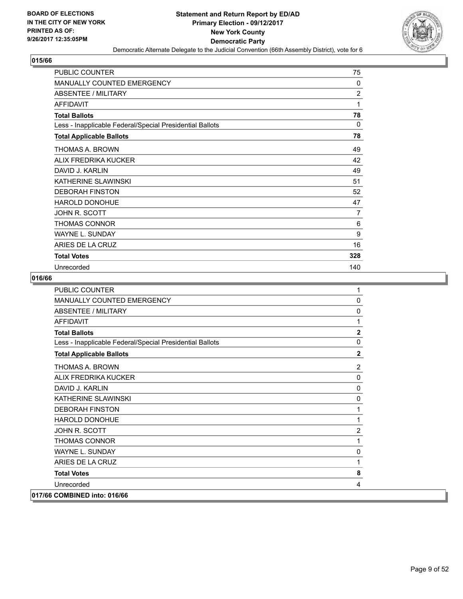

| <b>PUBLIC COUNTER</b>                                    | 75             |
|----------------------------------------------------------|----------------|
| <b>MANUALLY COUNTED EMERGENCY</b>                        | $\mathbf{0}$   |
| <b>ABSENTEE / MILITARY</b>                               | $\overline{2}$ |
| <b>AFFIDAVIT</b>                                         | 1              |
| <b>Total Ballots</b>                                     | 78             |
| Less - Inapplicable Federal/Special Presidential Ballots | 0              |
| <b>Total Applicable Ballots</b>                          | 78             |
| THOMAS A. BROWN                                          | 49             |
| ALIX FREDRIKA KUCKER                                     | 42             |
| DAVID J. KARLIN                                          | 49             |
| KATHERINE SLAWINSKI                                      | 51             |
| <b>DEBORAH FINSTON</b>                                   | 52             |
| HAROLD DONOHUE                                           | 47             |
| JOHN R. SCOTT                                            | 7              |
| THOMAS CONNOR                                            | 6              |
| <b>WAYNE L. SUNDAY</b>                                   | 9              |
| ARIES DE LA CRUZ                                         | 16             |
| <b>Total Votes</b>                                       | 328            |
| Unrecorded                                               | 140            |

| <b>PUBLIC COUNTER</b>                                    | 1              |
|----------------------------------------------------------|----------------|
| MANUALLY COUNTED EMERGENCY                               | $\mathbf 0$    |
| ABSENTEE / MILITARY                                      | 0              |
| <b>AFFIDAVIT</b>                                         | 1              |
| <b>Total Ballots</b>                                     | $\mathbf 2$    |
| Less - Inapplicable Federal/Special Presidential Ballots | 0              |
| <b>Total Applicable Ballots</b>                          | $\overline{2}$ |
| <b>THOMAS A. BROWN</b>                                   | $\overline{2}$ |
| ALIX FREDRIKA KUCKER                                     | $\mathbf{0}$   |
| DAVID J. KARLIN                                          | $\mathbf 0$    |
| KATHERINE SLAWINSKI                                      | $\Omega$       |
| <b>DEBORAH FINSTON</b>                                   | 1              |
| <b>HAROLD DONOHUE</b>                                    | 1              |
| JOHN R. SCOTT                                            | $\overline{2}$ |
| <b>THOMAS CONNOR</b>                                     | 1              |
| <b>WAYNE L. SUNDAY</b>                                   | 0              |
| ARIES DE LA CRUZ                                         | 1              |
| <b>Total Votes</b>                                       | 8              |
| Unrecorded                                               | 4              |
| 017/66 COMBINED into: 016/66                             |                |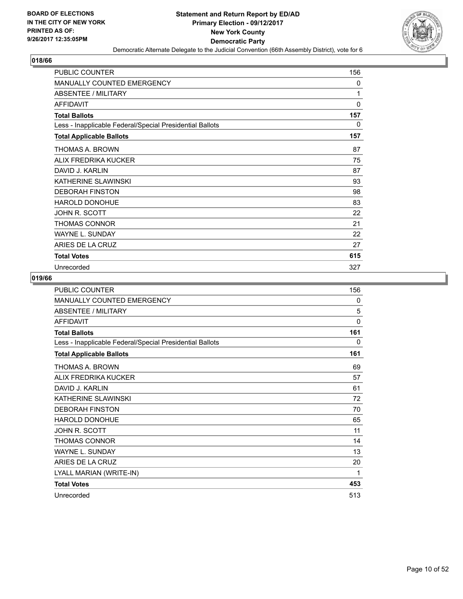

| <b>PUBLIC COUNTER</b>                                    | 156          |
|----------------------------------------------------------|--------------|
| <b>MANUALLY COUNTED EMERGENCY</b>                        | 0            |
| <b>ABSENTEE / MILITARY</b>                               | 1            |
| <b>AFFIDAVIT</b>                                         | $\mathbf{0}$ |
| <b>Total Ballots</b>                                     | 157          |
| Less - Inapplicable Federal/Special Presidential Ballots | 0            |
| <b>Total Applicable Ballots</b>                          | 157          |
| THOMAS A. BROWN                                          | 87           |
| ALIX FREDRIKA KUCKER                                     | 75           |
| DAVID J. KARLIN                                          | 87           |
| KATHERINE SLAWINSKI                                      | 93           |
| <b>DEBORAH FINSTON</b>                                   | 98           |
| HAROLD DONOHUE                                           | 83           |
| JOHN R. SCOTT                                            | 22           |
| THOMAS CONNOR                                            | 21           |
| <b>WAYNE L. SUNDAY</b>                                   | 22           |
| ARIES DE LA CRUZ                                         | 27           |
| <b>Total Votes</b>                                       | 615          |
| Unrecorded                                               | 327          |

| PUBLIC COUNTER                                           | 156 |
|----------------------------------------------------------|-----|
| <b>MANUALLY COUNTED EMERGENCY</b>                        | 0   |
| <b>ABSENTEE / MILITARY</b>                               | 5   |
| <b>AFFIDAVIT</b>                                         | 0   |
| <b>Total Ballots</b>                                     | 161 |
| Less - Inapplicable Federal/Special Presidential Ballots | 0   |
| <b>Total Applicable Ballots</b>                          | 161 |
| THOMAS A. BROWN                                          | 69  |
| ALIX FREDRIKA KUCKER                                     | 57  |
| DAVID J. KARLIN                                          | 61  |
| KATHERINE SLAWINSKI                                      | 72  |
| <b>DEBORAH FINSTON</b>                                   | 70  |
| <b>HAROLD DONOHUE</b>                                    | 65  |
| <b>JOHN R. SCOTT</b>                                     | 11  |
| <b>THOMAS CONNOR</b>                                     | 14  |
| <b>WAYNE L. SUNDAY</b>                                   | 13  |
| ARIES DE LA CRUZ                                         | 20  |
| LYALL MARIAN (WRITE-IN)                                  | 1   |
| <b>Total Votes</b>                                       | 453 |
| Unrecorded                                               | 513 |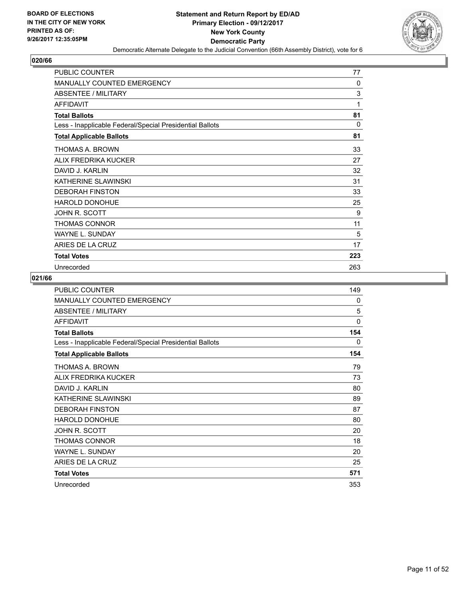

| <b>PUBLIC COUNTER</b>                                    | 77           |
|----------------------------------------------------------|--------------|
| <b>MANUALLY COUNTED EMERGENCY</b>                        | $\mathbf{0}$ |
| ABSENTEE / MILITARY                                      | 3            |
| <b>AFFIDAVIT</b>                                         | 1            |
| <b>Total Ballots</b>                                     | 81           |
| Less - Inapplicable Federal/Special Presidential Ballots | $\Omega$     |
| <b>Total Applicable Ballots</b>                          | 81           |
| THOMAS A. BROWN                                          | 33           |
| ALIX FREDRIKA KUCKER                                     | 27           |
| DAVID J. KARLIN                                          | 32           |
| KATHERINE SLAWINSKI                                      | 31           |
| <b>DEBORAH FINSTON</b>                                   | 33           |
| <b>HAROLD DONOHUE</b>                                    | 25           |
| JOHN R. SCOTT                                            | 9            |
| <b>THOMAS CONNOR</b>                                     | 11           |
| WAYNE L. SUNDAY                                          | 5            |
| ARIES DE LA CRUZ                                         | 17           |
| <b>Total Votes</b>                                       | 223          |
| Unrecorded                                               | 263          |

| <b>PUBLIC COUNTER</b>                                    | 149      |
|----------------------------------------------------------|----------|
| <b>MANUALLY COUNTED EMERGENCY</b>                        | 0        |
| <b>ABSENTEE / MILITARY</b>                               | 5        |
| <b>AFFIDAVIT</b>                                         | $\Omega$ |
| <b>Total Ballots</b>                                     | 154      |
| Less - Inapplicable Federal/Special Presidential Ballots | 0        |
| <b>Total Applicable Ballots</b>                          | 154      |
| THOMAS A. BROWN                                          | 79       |
| ALIX FREDRIKA KUCKER                                     | 73       |
| DAVID J. KARLIN                                          | 80       |
| KATHERINE SLAWINSKI                                      | 89       |
| <b>DEBORAH FINSTON</b>                                   | 87       |
| HAROLD DONOHUE                                           | 80       |
| JOHN R. SCOTT                                            | 20       |
| <b>THOMAS CONNOR</b>                                     | 18       |
| <b>WAYNE L. SUNDAY</b>                                   | 20       |
| ARIES DE LA CRUZ                                         | 25       |
| <b>Total Votes</b>                                       | 571      |
| Unrecorded                                               | 353      |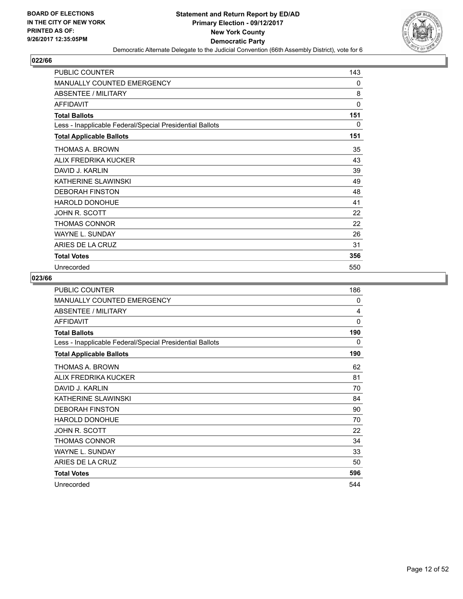

| <b>PUBLIC COUNTER</b>                                    | 143 |
|----------------------------------------------------------|-----|
| <b>MANUALLY COUNTED EMERGENCY</b>                        | 0   |
| <b>ABSENTEE / MILITARY</b>                               | 8   |
| <b>AFFIDAVIT</b>                                         | 0   |
| <b>Total Ballots</b>                                     | 151 |
| Less - Inapplicable Federal/Special Presidential Ballots | 0   |
| <b>Total Applicable Ballots</b>                          | 151 |
| THOMAS A. BROWN                                          | 35  |
| ALIX FREDRIKA KUCKER                                     | 43  |
| DAVID J. KARLIN                                          | 39  |
| KATHERINE SLAWINSKI                                      | 49  |
| <b>DEBORAH FINSTON</b>                                   | 48  |
| <b>HAROLD DONOHUE</b>                                    | 41  |
| JOHN R. SCOTT                                            | 22  |
| THOMAS CONNOR                                            | 22  |
| <b>WAYNE L. SUNDAY</b>                                   | 26  |
| ARIES DE LA CRUZ                                         | 31  |
| <b>Total Votes</b>                                       | 356 |
| Unrecorded                                               | 550 |

| <b>PUBLIC COUNTER</b>                                    | 186      |
|----------------------------------------------------------|----------|
| <b>MANUALLY COUNTED EMERGENCY</b>                        | 0        |
| <b>ABSENTEE / MILITARY</b>                               | 4        |
| <b>AFFIDAVIT</b>                                         | $\Omega$ |
| <b>Total Ballots</b>                                     | 190      |
| Less - Inapplicable Federal/Special Presidential Ballots | 0        |
| <b>Total Applicable Ballots</b>                          | 190      |
| THOMAS A. BROWN                                          | 62       |
| ALIX FREDRIKA KUCKER                                     | 81       |
| DAVID J. KARLIN                                          | 70       |
| KATHERINE SLAWINSKI                                      | 84       |
| <b>DEBORAH FINSTON</b>                                   | 90       |
| HAROLD DONOHUE                                           | 70       |
| JOHN R. SCOTT                                            | 22       |
| <b>THOMAS CONNOR</b>                                     | 34       |
| <b>WAYNE L. SUNDAY</b>                                   | 33       |
| ARIES DE LA CRUZ                                         | 50       |
| <b>Total Votes</b>                                       | 596      |
| Unrecorded                                               | 544      |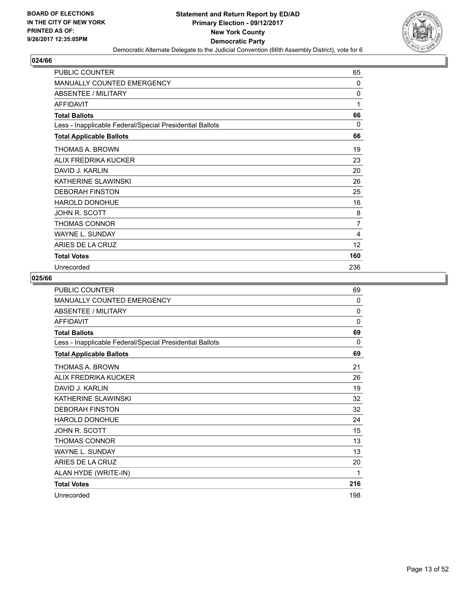

| <b>PUBLIC COUNTER</b>                                    | 65           |
|----------------------------------------------------------|--------------|
| <b>MANUALLY COUNTED EMERGENCY</b>                        | $\Omega$     |
| <b>ABSENTEE / MILITARY</b>                               | $\mathbf{0}$ |
| <b>AFFIDAVIT</b>                                         | 1            |
| <b>Total Ballots</b>                                     | 66           |
| Less - Inapplicable Federal/Special Presidential Ballots | 0            |
| <b>Total Applicable Ballots</b>                          | 66           |
| THOMAS A. BROWN                                          | 19           |
| ALIX FREDRIKA KUCKER                                     | 23           |
| DAVID J. KARLIN                                          | 20           |
| KATHERINE SLAWINSKI                                      | 26           |
| <b>DEBORAH FINSTON</b>                                   | 25           |
| HAROLD DONOHUE                                           | 16           |
| JOHN R. SCOTT                                            | 8            |
| THOMAS CONNOR                                            | 7            |
| <b>WAYNE L. SUNDAY</b>                                   | 4            |
| ARIES DE LA CRUZ                                         | 12           |
| <b>Total Votes</b>                                       | 160          |
| Unrecorded                                               | 236          |

| <b>PUBLIC COUNTER</b>                                    | 69           |
|----------------------------------------------------------|--------------|
| MANUALLY COUNTED EMERGENCY                               | 0            |
| ABSENTEE / MILITARY                                      | $\mathbf{0}$ |
| <b>AFFIDAVIT</b>                                         | $\Omega$     |
| <b>Total Ballots</b>                                     | 69           |
| Less - Inapplicable Federal/Special Presidential Ballots | 0            |
| <b>Total Applicable Ballots</b>                          | 69           |
| THOMAS A. BROWN                                          | 21           |
| ALIX FREDRIKA KUCKER                                     | 26           |
| DAVID J. KARLIN                                          | 19           |
| KATHERINE SLAWINSKI                                      | 32           |
| <b>DEBORAH FINSTON</b>                                   | 32           |
| HAROLD DONOHUE                                           | 24           |
| <b>JOHN R. SCOTT</b>                                     | 15           |
| <b>THOMAS CONNOR</b>                                     | 13           |
| <b>WAYNE L. SUNDAY</b>                                   | 13           |
| ARIES DE LA CRUZ                                         | 20           |
| ALAN HYDE (WRITE-IN)                                     | 1            |
| <b>Total Votes</b>                                       | 216          |
| Unrecorded                                               | 198          |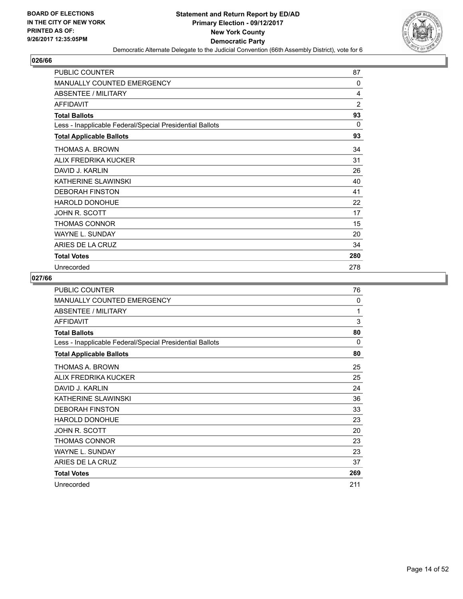

| <b>PUBLIC COUNTER</b>                                    | 87             |
|----------------------------------------------------------|----------------|
| <b>MANUALLY COUNTED EMERGENCY</b>                        | $\Omega$       |
| <b>ABSENTEE / MILITARY</b>                               | 4              |
| <b>AFFIDAVIT</b>                                         | $\overline{2}$ |
| <b>Total Ballots</b>                                     | 93             |
| Less - Inapplicable Federal/Special Presidential Ballots | 0              |
| <b>Total Applicable Ballots</b>                          | 93             |
| THOMAS A. BROWN                                          | 34             |
| ALIX FREDRIKA KUCKER                                     | 31             |
| DAVID J. KARLIN                                          | 26             |
| KATHERINE SLAWINSKI                                      | 40             |
| <b>DEBORAH FINSTON</b>                                   | 41             |
| HAROLD DONOHUE                                           | 22             |
| JOHN R. SCOTT                                            | 17             |
| <b>THOMAS CONNOR</b>                                     | 15             |
| WAYNE L. SUNDAY                                          | 20             |
| ARIES DE LA CRUZ                                         | 34             |
| <b>Total Votes</b>                                       | 280            |
| Unrecorded                                               | 278            |

| <b>PUBLIC COUNTER</b>                                    | 76  |
|----------------------------------------------------------|-----|
| <b>MANUALLY COUNTED EMERGENCY</b>                        | 0   |
| <b>ABSENTEE / MILITARY</b>                               | 1   |
| <b>AFFIDAVIT</b>                                         | 3   |
| <b>Total Ballots</b>                                     | 80  |
| Less - Inapplicable Federal/Special Presidential Ballots | 0   |
| <b>Total Applicable Ballots</b>                          | 80  |
| THOMAS A. BROWN                                          | 25  |
| ALIX FREDRIKA KUCKER                                     | 25  |
| DAVID J. KARLIN                                          | 24  |
| KATHERINE SLAWINSKI                                      | 36  |
| <b>DEBORAH FINSTON</b>                                   | 33  |
| <b>HAROLD DONOHUE</b>                                    | 23  |
| JOHN R. SCOTT                                            | 20  |
| THOMAS CONNOR                                            | 23  |
| <b>WAYNE L. SUNDAY</b>                                   | 23  |
| ARIES DE LA CRUZ                                         | 37  |
| <b>Total Votes</b>                                       | 269 |
| Unrecorded                                               | 211 |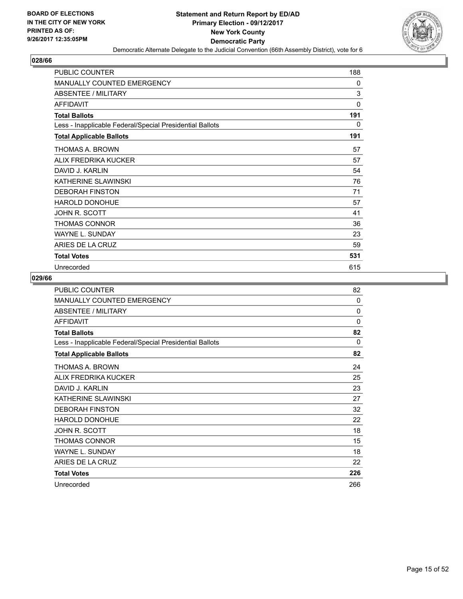

| <b>PUBLIC COUNTER</b>                                    | 188      |
|----------------------------------------------------------|----------|
| <b>MANUALLY COUNTED EMERGENCY</b>                        | 0        |
| <b>ABSENTEE / MILITARY</b>                               | 3        |
| <b>AFFIDAVIT</b>                                         | $\Omega$ |
| <b>Total Ballots</b>                                     | 191      |
| Less - Inapplicable Federal/Special Presidential Ballots | $\Omega$ |
| <b>Total Applicable Ballots</b>                          | 191      |
| THOMAS A. BROWN                                          | 57       |
| ALIX FREDRIKA KUCKER                                     | 57       |
| DAVID J. KARLIN                                          | 54       |
| KATHERINE SLAWINSKI                                      | 76       |
| <b>DEBORAH FINSTON</b>                                   | 71       |
| <b>HAROLD DONOHUE</b>                                    | 57       |
| JOHN R. SCOTT                                            | 41       |
| THOMAS CONNOR                                            | 36       |
| <b>WAYNE L. SUNDAY</b>                                   | 23       |
| ARIES DE LA CRUZ                                         | 59       |
| <b>Total Votes</b>                                       | 531      |
| Unrecorded                                               | 615      |

| <b>PUBLIC COUNTER</b>                                    | 82       |
|----------------------------------------------------------|----------|
| <b>MANUALLY COUNTED EMERGENCY</b>                        | 0        |
| <b>ABSENTEE / MILITARY</b>                               | $\Omega$ |
| <b>AFFIDAVIT</b>                                         | $\Omega$ |
| <b>Total Ballots</b>                                     | 82       |
| Less - Inapplicable Federal/Special Presidential Ballots | 0        |
| <b>Total Applicable Ballots</b>                          | 82       |
| THOMAS A. BROWN                                          | 24       |
| ALIX FREDRIKA KUCKER                                     | 25       |
| DAVID J. KARLIN                                          | 23       |
| KATHERINE SLAWINSKI                                      | 27       |
| <b>DEBORAH FINSTON</b>                                   | 32       |
| HAROLD DONOHUE                                           | 22       |
| JOHN R. SCOTT                                            | 18       |
| <b>THOMAS CONNOR</b>                                     | 15       |
| <b>WAYNE L. SUNDAY</b>                                   | 18       |
| ARIES DE LA CRUZ                                         | 22       |
| <b>Total Votes</b>                                       | 226      |
| Unrecorded                                               | 266      |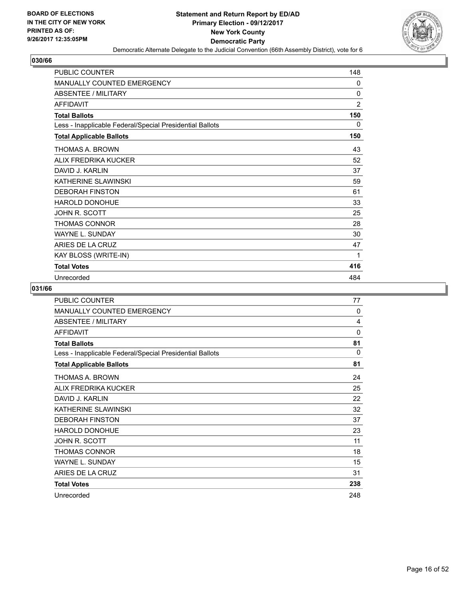

| <b>PUBLIC COUNTER</b>                                    | 148            |
|----------------------------------------------------------|----------------|
| <b>MANUALLY COUNTED EMERGENCY</b>                        | 0              |
| ABSENTEE / MILITARY                                      | 0              |
| <b>AFFIDAVIT</b>                                         | $\overline{2}$ |
| <b>Total Ballots</b>                                     | 150            |
| Less - Inapplicable Federal/Special Presidential Ballots | 0              |
| <b>Total Applicable Ballots</b>                          | 150            |
| THOMAS A. BROWN                                          | 43             |
| ALIX FREDRIKA KUCKER                                     | 52             |
| DAVID J. KARI IN                                         | 37             |
| KATHERINE SLAWINSKI                                      | 59             |
| <b>DEBORAH FINSTON</b>                                   | 61             |
| <b>HAROLD DONOHUE</b>                                    | 33             |
| JOHN R. SCOTT                                            | 25             |
| THOMAS CONNOR                                            | 28             |
| <b>WAYNE L. SUNDAY</b>                                   | 30             |
| ARIES DE LA CRUZ                                         | 47             |
| KAY BLOSS (WRITE-IN)                                     | 1              |
| <b>Total Votes</b>                                       | 416            |
| Unrecorded                                               | 484            |

| <b>PUBLIC COUNTER</b>                                    | 77          |
|----------------------------------------------------------|-------------|
| <b>MANUALLY COUNTED EMERGENCY</b>                        | 0           |
| ABSENTEE / MILITARY                                      | 4           |
| <b>AFFIDAVIT</b>                                         | $\mathbf 0$ |
| <b>Total Ballots</b>                                     | 81          |
| Less - Inapplicable Federal/Special Presidential Ballots | 0           |
| <b>Total Applicable Ballots</b>                          | 81          |
| THOMAS A. BROWN                                          | 24          |
| ALIX FREDRIKA KUCKER                                     | 25          |
| DAVID J. KARLIN                                          | 22          |
| KATHERINE SLAWINSKI                                      | 32          |
| <b>DEBORAH FINSTON</b>                                   | 37          |
| <b>HAROLD DONOHUE</b>                                    | 23          |
| JOHN R. SCOTT                                            | 11          |
| <b>THOMAS CONNOR</b>                                     | 18          |
| <b>WAYNE L. SUNDAY</b>                                   | 15          |
| ARIES DE LA CRUZ                                         | 31          |
| <b>Total Votes</b>                                       | 238         |
| Unrecorded                                               | 248         |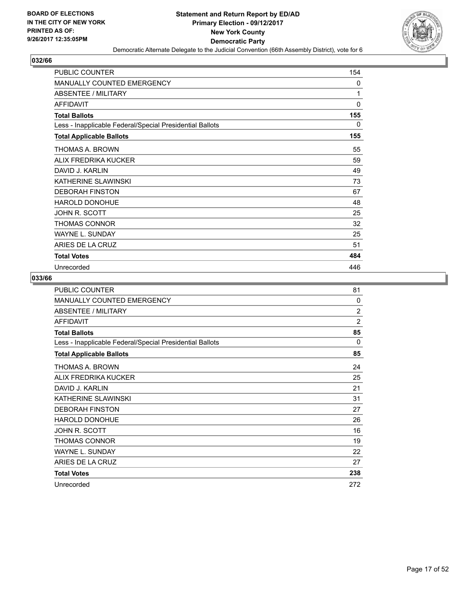

| <b>PUBLIC COUNTER</b>                                    | 154 |
|----------------------------------------------------------|-----|
| <b>MANUALLY COUNTED EMERGENCY</b>                        | 0   |
| <b>ABSENTEE / MILITARY</b>                               | 1   |
| <b>AFFIDAVIT</b>                                         | 0   |
| <b>Total Ballots</b>                                     | 155 |
| Less - Inapplicable Federal/Special Presidential Ballots | 0   |
| <b>Total Applicable Ballots</b>                          | 155 |
| THOMAS A. BROWN                                          | 55  |
| ALIX FREDRIKA KUCKER                                     | 59  |
| DAVID J. KARLIN                                          | 49  |
| KATHERINE SLAWINSKI                                      | 73  |
| <b>DEBORAH FINSTON</b>                                   | 67  |
| <b>HAROLD DONOHUE</b>                                    | 48  |
| JOHN R. SCOTT                                            | 25  |
| THOMAS CONNOR                                            | 32  |
| <b>WAYNE L. SUNDAY</b>                                   | 25  |
| ARIES DE LA CRUZ                                         | 51  |
| <b>Total Votes</b>                                       | 484 |
| Unrecorded                                               | 446 |

| <b>PUBLIC COUNTER</b>                                    | 81             |
|----------------------------------------------------------|----------------|
| <b>MANUALLY COUNTED EMERGENCY</b>                        | 0              |
| <b>ABSENTEE / MILITARY</b>                               | $\overline{2}$ |
| <b>AFFIDAVIT</b>                                         | $\overline{2}$ |
| <b>Total Ballots</b>                                     | 85             |
| Less - Inapplicable Federal/Special Presidential Ballots | 0              |
| <b>Total Applicable Ballots</b>                          | 85             |
| THOMAS A. BROWN                                          | 24             |
| ALIX FREDRIKA KUCKER                                     | 25             |
| DAVID J. KARLIN                                          | 21             |
| KATHERINE SLAWINSKI                                      | 31             |
| <b>DEBORAH FINSTON</b>                                   | 27             |
| <b>HAROLD DONOHUE</b>                                    | 26             |
| <b>JOHN R. SCOTT</b>                                     | 16             |
| <b>THOMAS CONNOR</b>                                     | 19             |
| <b>WAYNE L. SUNDAY</b>                                   | 22             |
| ARIES DE LA CRUZ                                         | 27             |
| <b>Total Votes</b>                                       | 238            |
| Unrecorded                                               | 272            |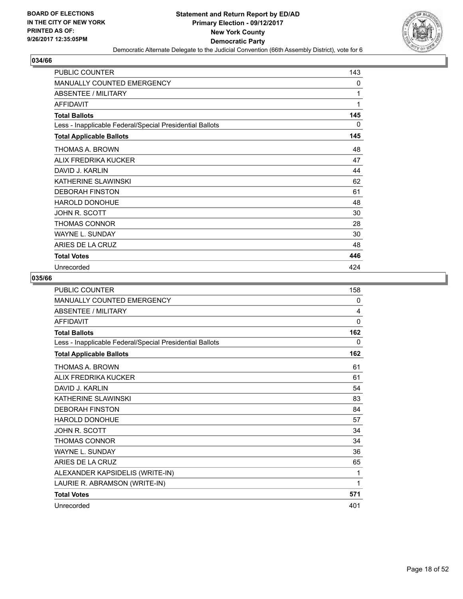

| <b>PUBLIC COUNTER</b>                                    | 143 |
|----------------------------------------------------------|-----|
| <b>MANUALLY COUNTED EMERGENCY</b>                        | 0   |
| <b>ABSENTEE / MILITARY</b>                               | 1   |
| <b>AFFIDAVIT</b>                                         | 1   |
| <b>Total Ballots</b>                                     | 145 |
| Less - Inapplicable Federal/Special Presidential Ballots | 0   |
| <b>Total Applicable Ballots</b>                          | 145 |
| THOMAS A. BROWN                                          | 48  |
| ALIX FREDRIKA KUCKER                                     | 47  |
| DAVID J. KARLIN                                          | 44  |
| KATHERINE SLAWINSKI                                      | 62  |
| <b>DEBORAH FINSTON</b>                                   | 61  |
| HAROLD DONOHUE                                           | 48  |
| JOHN R. SCOTT                                            | 30  |
| THOMAS CONNOR                                            | 28  |
| <b>WAYNE L. SUNDAY</b>                                   | 30  |
| ARIES DE LA CRUZ                                         | 48  |
| <b>Total Votes</b>                                       | 446 |
| Unrecorded                                               | 424 |

| <b>PUBLIC COUNTER</b>                                    | 158          |
|----------------------------------------------------------|--------------|
| <b>MANUALLY COUNTED EMERGENCY</b>                        | 0            |
| <b>ABSENTEE / MILITARY</b>                               | 4            |
| <b>AFFIDAVIT</b>                                         | $\mathbf{0}$ |
| <b>Total Ballots</b>                                     | 162          |
| Less - Inapplicable Federal/Special Presidential Ballots | 0            |
| <b>Total Applicable Ballots</b>                          | 162          |
| THOMAS A. BROWN                                          | 61           |
| ALIX FREDRIKA KUCKER                                     | 61           |
| DAVID J. KARI IN                                         | 54           |
| KATHERINE SLAWINSKI                                      | 83           |
| <b>DEBORAH FINSTON</b>                                   | 84           |
| HAROLD DONOHUE                                           | 57           |
| JOHN R. SCOTT                                            | 34           |
| <b>THOMAS CONNOR</b>                                     | 34           |
| <b>WAYNE L. SUNDAY</b>                                   | 36           |
| ARIES DE LA CRUZ                                         | 65           |
| ALEXANDER KAPSIDELIS (WRITE-IN)                          | 1            |
| LAURIE R. ABRAMSON (WRITE-IN)                            | 1            |
| <b>Total Votes</b>                                       | 571          |
| Unrecorded                                               | 401          |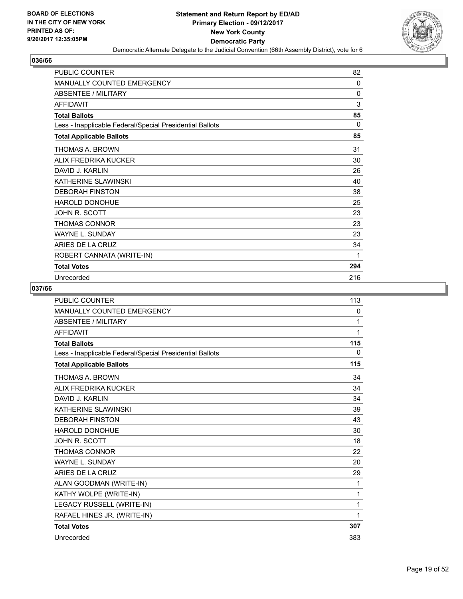

| <b>PUBLIC COUNTER</b>                                    | 82  |
|----------------------------------------------------------|-----|
| <b>MANUALLY COUNTED EMERGENCY</b>                        | 0   |
| <b>ABSENTEE / MILITARY</b>                               | 0   |
| <b>AFFIDAVIT</b>                                         | 3   |
| <b>Total Ballots</b>                                     | 85  |
| Less - Inapplicable Federal/Special Presidential Ballots | 0   |
| <b>Total Applicable Ballots</b>                          | 85  |
| THOMAS A. BROWN                                          | 31  |
| ALIX FREDRIKA KUCKER                                     | 30  |
| DAVID J. KARI IN                                         | 26  |
| KATHERINE SLAWINSKI                                      | 40  |
| <b>DEBORAH FINSTON</b>                                   | 38  |
| <b>HAROLD DONOHUE</b>                                    | 25  |
| JOHN R. SCOTT                                            | 23  |
| THOMAS CONNOR                                            | 23  |
| <b>WAYNE L. SUNDAY</b>                                   | 23  |
| ARIES DE LA CRUZ                                         | 34  |
| ROBERT CANNATA (WRITE-IN)                                | 1   |
| <b>Total Votes</b>                                       | 294 |
| Unrecorded                                               | 216 |

| <b>PUBLIC COUNTER</b>                                    | 113 |
|----------------------------------------------------------|-----|
| MANUALLY COUNTED EMERGENCY                               | 0   |
| <b>ABSENTEE / MILITARY</b>                               | 1   |
| <b>AFFIDAVIT</b>                                         | 1   |
| <b>Total Ballots</b>                                     | 115 |
| Less - Inapplicable Federal/Special Presidential Ballots | 0   |
| <b>Total Applicable Ballots</b>                          | 115 |
| <b>THOMAS A. BROWN</b>                                   | 34  |
| ALIX FREDRIKA KUCKER                                     | 34  |
| DAVID J. KARLIN                                          | 34  |
| KATHERINE SLAWINSKI                                      | 39  |
| <b>DEBORAH FINSTON</b>                                   | 43  |
| <b>HAROLD DONOHUE</b>                                    | 30  |
| <b>JOHN R. SCOTT</b>                                     | 18  |
| <b>THOMAS CONNOR</b>                                     | 22  |
| <b>WAYNE L. SUNDAY</b>                                   | 20  |
| ARIES DE LA CRUZ                                         | 29  |
| ALAN GOODMAN (WRITE-IN)                                  | 1   |
| KATHY WOLPE (WRITE-IN)                                   | 1   |
| LEGACY RUSSELL (WRITE-IN)                                | 1   |
| RAFAEL HINES JR. (WRITE-IN)                              | 1   |
| <b>Total Votes</b>                                       | 307 |
| Unrecorded                                               | 383 |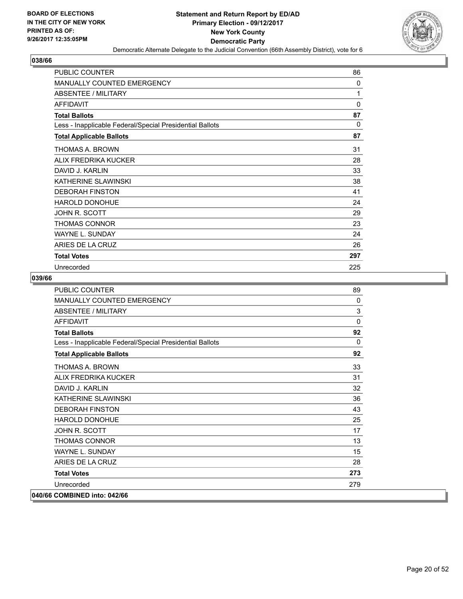

| <b>PUBLIC COUNTER</b>                                    | 86       |
|----------------------------------------------------------|----------|
| <b>MANUALLY COUNTED EMERGENCY</b>                        | $\Omega$ |
| <b>ABSENTEE / MILITARY</b>                               | 1        |
| <b>AFFIDAVIT</b>                                         | $\Omega$ |
| <b>Total Ballots</b>                                     | 87       |
| Less - Inapplicable Federal/Special Presidential Ballots | $\Omega$ |
| <b>Total Applicable Ballots</b>                          | 87       |
| THOMAS A. BROWN                                          | 31       |
| ALIX FREDRIKA KUCKER                                     | 28       |
| DAVID J. KARLIN                                          | 33       |
| KATHERINE SLAWINSKI                                      | 38       |
| <b>DEBORAH FINSTON</b>                                   | 41       |
| <b>HAROLD DONOHUE</b>                                    | 24       |
| JOHN R. SCOTT                                            | 29       |
| THOMAS CONNOR                                            | 23       |
| <b>WAYNE L. SUNDAY</b>                                   | 24       |
| ARIES DE LA CRUZ                                         | 26       |
| <b>Total Votes</b>                                       | 297      |
| Unrecorded                                               | 225      |

| <b>PUBLIC COUNTER</b>                                    | 89       |
|----------------------------------------------------------|----------|
| <b>MANUALLY COUNTED EMERGENCY</b>                        | 0        |
| <b>ABSENTEE / MILITARY</b>                               | 3        |
| <b>AFFIDAVIT</b>                                         | $\Omega$ |
| <b>Total Ballots</b>                                     | 92       |
| Less - Inapplicable Federal/Special Presidential Ballots | $\Omega$ |
| <b>Total Applicable Ballots</b>                          | 92       |
| <b>THOMAS A. BROWN</b>                                   | 33       |
| ALIX FREDRIKA KUCKER                                     | 31       |
| DAVID J. KARLIN                                          | 32       |
| KATHERINE SLAWINSKI                                      | 36       |
| <b>DEBORAH FINSTON</b>                                   | 43       |
| <b>HAROLD DONOHUE</b>                                    | 25       |
| JOHN R. SCOTT                                            | 17       |
| <b>THOMAS CONNOR</b>                                     | 13       |
| <b>WAYNE L. SUNDAY</b>                                   | 15       |
| ARIES DE LA CRUZ                                         | 28       |
| <b>Total Votes</b>                                       | 273      |
| Unrecorded                                               | 279      |
| 040/66 COMBINED into: 042/66                             |          |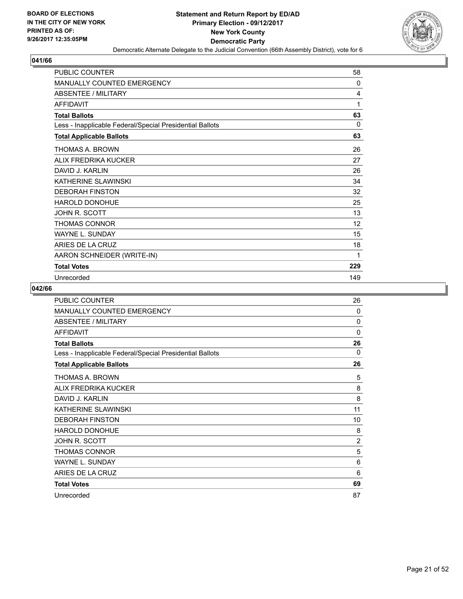

| <b>PUBLIC COUNTER</b>                                    | 58  |
|----------------------------------------------------------|-----|
| <b>MANUALLY COUNTED EMERGENCY</b>                        | 0   |
| <b>ABSENTEE / MILITARY</b>                               | 4   |
| <b>AFFIDAVIT</b>                                         | 1   |
| <b>Total Ballots</b>                                     | 63  |
| Less - Inapplicable Federal/Special Presidential Ballots | 0   |
| <b>Total Applicable Ballots</b>                          | 63  |
| THOMAS A. BROWN                                          | 26  |
| ALIX FREDRIKA KUCKER                                     | 27  |
| DAVID J. KARLIN                                          | 26  |
| KATHERINE SLAWINSKI                                      | 34  |
| <b>DEBORAH FINSTON</b>                                   | 32  |
| <b>HAROLD DONOHUE</b>                                    | 25  |
| JOHN R. SCOTT                                            | 13  |
| THOMAS CONNOR                                            | 12  |
| <b>WAYNE L. SUNDAY</b>                                   | 15  |
| ARIES DE LA CRUZ                                         | 18  |
| AARON SCHNEIDER (WRITE-IN)                               | 1   |
| <b>Total Votes</b>                                       | 229 |
| Unrecorded                                               | 149 |

| <b>PUBLIC COUNTER</b>                                    | 26             |
|----------------------------------------------------------|----------------|
| MANUALLY COUNTED EMERGENCY                               | $\Omega$       |
| ABSENTEE / MILITARY                                      | 0              |
| <b>AFFIDAVIT</b>                                         | 0              |
| <b>Total Ballots</b>                                     | 26             |
| Less - Inapplicable Federal/Special Presidential Ballots | $\Omega$       |
| <b>Total Applicable Ballots</b>                          | 26             |
| THOMAS A. BROWN                                          | 5              |
| ALIX FREDRIKA KUCKER                                     | 8              |
| DAVID J. KARLIN                                          | 8              |
| KATHERINE SLAWINSKI                                      | 11             |
| <b>DEBORAH FINSTON</b>                                   | 10             |
| <b>HAROLD DONOHUE</b>                                    | 8              |
| JOHN R. SCOTT                                            | $\overline{2}$ |
| <b>THOMAS CONNOR</b>                                     | 5              |
| <b>WAYNE L. SUNDAY</b>                                   | 6              |
| ARIES DE LA CRUZ                                         | 6              |
| <b>Total Votes</b>                                       | 69             |
| Unrecorded                                               | 87             |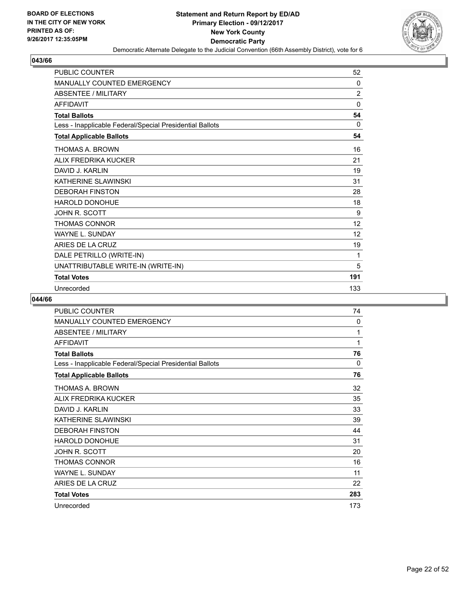

| <b>PUBLIC COUNTER</b>                                    | 52             |
|----------------------------------------------------------|----------------|
| <b>MANUALLY COUNTED EMERGENCY</b>                        | 0              |
| <b>ABSENTEE / MILITARY</b>                               | $\overline{2}$ |
| <b>AFFIDAVIT</b>                                         | 0              |
| <b>Total Ballots</b>                                     | 54             |
| Less - Inapplicable Federal/Special Presidential Ballots | 0              |
| <b>Total Applicable Ballots</b>                          | 54             |
| THOMAS A. BROWN                                          | 16             |
| ALIX FREDRIKA KUCKER                                     | 21             |
| DAVID J. KARLIN                                          | 19             |
| KATHERINE SI AWINSKI                                     | 31             |
| <b>DEBORAH FINSTON</b>                                   | 28             |
| HAROLD DONOHUE                                           | 18             |
| JOHN R. SCOTT                                            | 9              |
| <b>THOMAS CONNOR</b>                                     | 12             |
| <b>WAYNE L. SUNDAY</b>                                   | 12             |
| ARIES DE LA CRUZ                                         | 19             |
| DALE PETRILLO (WRITE-IN)                                 | 1              |
| UNATTRIBUTABLE WRITE-IN (WRITE-IN)                       | 5              |
| <b>Total Votes</b>                                       | 191            |
| Unrecorded                                               | 133            |

| PUBLIC COUNTER                                           | 74  |
|----------------------------------------------------------|-----|
| MANUALLY COUNTED EMERGENCY                               | 0   |
| <b>ABSENTEE / MILITARY</b>                               | 1   |
| <b>AFFIDAVIT</b>                                         | 1   |
| <b>Total Ballots</b>                                     | 76  |
| Less - Inapplicable Federal/Special Presidential Ballots | 0   |
| <b>Total Applicable Ballots</b>                          | 76  |
| THOMAS A. BROWN                                          | 32  |
| ALIX FREDRIKA KUCKER                                     | 35  |
| DAVID J. KARLIN                                          | 33  |
| KATHERINE SLAWINSKI                                      | 39  |
| <b>DEBORAH FINSTON</b>                                   | 44  |
| <b>HAROLD DONOHUE</b>                                    | 31  |
| JOHN R. SCOTT                                            | 20  |
| <b>THOMAS CONNOR</b>                                     | 16  |
| <b>WAYNE L. SUNDAY</b>                                   | 11  |
| ARIES DE LA CRUZ                                         | 22  |
| <b>Total Votes</b>                                       | 283 |
| Unrecorded                                               | 173 |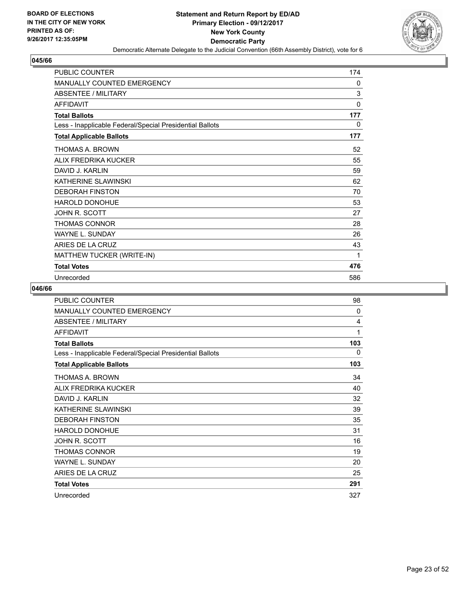

| <b>PUBLIC COUNTER</b>                                    | 174          |
|----------------------------------------------------------|--------------|
| <b>MANUALLY COUNTED EMERGENCY</b>                        | 0            |
| ABSENTEE / MILITARY                                      | 3            |
| <b>AFFIDAVIT</b>                                         | $\mathbf{0}$ |
| <b>Total Ballots</b>                                     | 177          |
| Less - Inapplicable Federal/Special Presidential Ballots | 0            |
| <b>Total Applicable Ballots</b>                          | 177          |
| THOMAS A. BROWN                                          | 52           |
| ALIX FREDRIKA KUCKER                                     | 55           |
| DAVID J. KARLIN                                          | 59           |
| KATHERINE SLAWINSKI                                      | 62           |
| <b>DEBORAH FINSTON</b>                                   | 70           |
| <b>HAROLD DONOHUE</b>                                    | 53           |
| JOHN R. SCOTT                                            | 27           |
| THOMAS CONNOR                                            | 28           |
| <b>WAYNE L. SUNDAY</b>                                   | 26           |
| ARIES DE LA CRUZ                                         | 43           |
| MATTHEW TUCKER (WRITE-IN)                                | 1            |
| <b>Total Votes</b>                                       | 476          |
| Unrecorded                                               | 586          |

| <b>PUBLIC COUNTER</b>                                    | 98       |
|----------------------------------------------------------|----------|
| <b>MANUALLY COUNTED EMERGENCY</b>                        | $\Omega$ |
| <b>ABSENTEE / MILITARY</b>                               | 4        |
| <b>AFFIDAVIT</b>                                         | 1        |
| <b>Total Ballots</b>                                     | 103      |
| Less - Inapplicable Federal/Special Presidential Ballots | 0        |
| <b>Total Applicable Ballots</b>                          | 103      |
| THOMAS A. BROWN                                          | 34       |
| ALIX FREDRIKA KUCKER                                     | 40       |
| DAVID J. KARLIN                                          | 32       |
| KATHERINE SLAWINSKI                                      | 39       |
| <b>DEBORAH FINSTON</b>                                   | 35       |
| <b>HAROLD DONOHUE</b>                                    | 31       |
| JOHN R. SCOTT                                            | 16       |
| THOMAS CONNOR                                            | 19       |
| <b>WAYNE L. SUNDAY</b>                                   | 20       |
| ARIES DE LA CRUZ                                         | 25       |
| <b>Total Votes</b>                                       | 291      |
| Unrecorded                                               | 327      |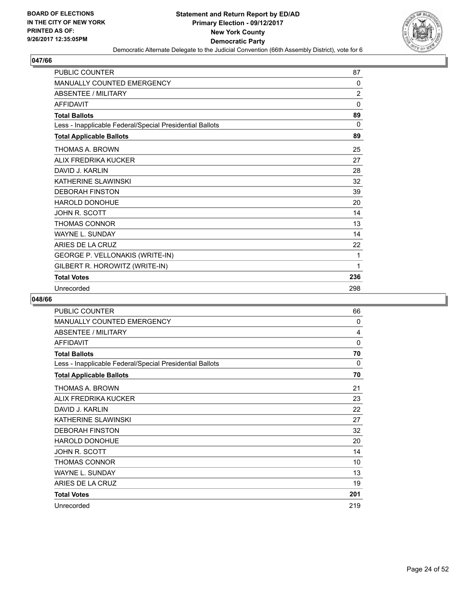

| <b>PUBLIC COUNTER</b>                                    | 87             |
|----------------------------------------------------------|----------------|
| MANUALLY COUNTED EMERGENCY                               | 0              |
| <b>ABSENTEE / MILITARY</b>                               | $\overline{2}$ |
| <b>AFFIDAVIT</b>                                         | $\mathbf 0$    |
| <b>Total Ballots</b>                                     | 89             |
| Less - Inapplicable Federal/Special Presidential Ballots | 0              |
| <b>Total Applicable Ballots</b>                          | 89             |
| THOMAS A. BROWN                                          | 25             |
| ALIX FREDRIKA KUCKER                                     | 27             |
| DAVID J. KARLIN                                          | 28             |
| KATHERINE SLAWINSKI                                      | 32             |
| <b>DEBORAH FINSTON</b>                                   | 39             |
| <b>HAROLD DONOHUE</b>                                    | 20             |
| <b>JOHN R. SCOTT</b>                                     | 14             |
| <b>THOMAS CONNOR</b>                                     | 13             |
| <b>WAYNE L. SUNDAY</b>                                   | 14             |
| ARIES DE LA CRUZ                                         | 22             |
| <b>GEORGE P. VELLONAKIS (WRITE-IN)</b>                   | 1              |
| GILBERT R. HOROWITZ (WRITE-IN)                           | 1              |
| <b>Total Votes</b>                                       | 236            |
| Unrecorded                                               | 298            |

| <b>PUBLIC COUNTER</b>                                    | 66       |
|----------------------------------------------------------|----------|
| <b>MANUALLY COUNTED EMERGENCY</b>                        | 0        |
| ABSENTEE / MILITARY                                      | 4        |
| <b>AFFIDAVIT</b>                                         | $\Omega$ |
| <b>Total Ballots</b>                                     | 70       |
| Less - Inapplicable Federal/Special Presidential Ballots | 0        |
| <b>Total Applicable Ballots</b>                          | 70       |
| THOMAS A. BROWN                                          | 21       |
| ALIX FREDRIKA KUCKER                                     | 23       |
| DAVID J. KARLIN                                          | 22       |
| KATHERINE SLAWINSKI                                      | 27       |
| <b>DEBORAH FINSTON</b>                                   | 32       |
| <b>HAROLD DONOHUE</b>                                    | 20       |
| JOHN R. SCOTT                                            | 14       |
| <b>THOMAS CONNOR</b>                                     | 10       |
| <b>WAYNE L. SUNDAY</b>                                   | 13       |
| ARIES DE LA CRUZ                                         | 19       |
| <b>Total Votes</b>                                       | 201      |
| Unrecorded                                               | 219      |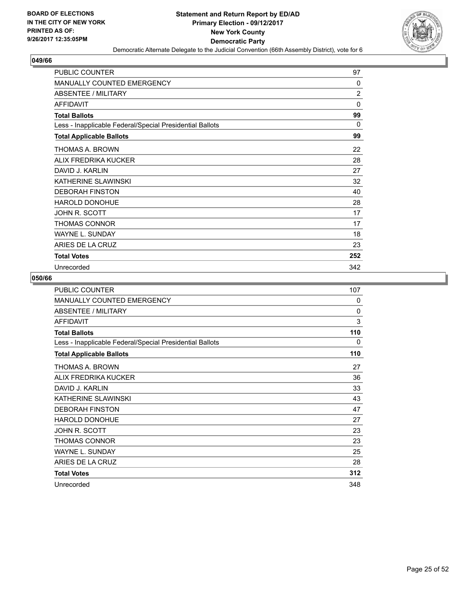

| PUBLIC COUNTER                                           | 97             |
|----------------------------------------------------------|----------------|
| <b>MANUALLY COUNTED EMERGENCY</b>                        | $\Omega$       |
| ABSENTEE / MILITARY                                      | $\overline{2}$ |
| <b>AFFIDAVIT</b>                                         | 0              |
| <b>Total Ballots</b>                                     | 99             |
| Less - Inapplicable Federal/Special Presidential Ballots | $\Omega$       |
| <b>Total Applicable Ballots</b>                          | 99             |
| THOMAS A. BROWN                                          | 22             |
| ALIX FREDRIKA KUCKER                                     | 28             |
| DAVID J. KARLIN                                          | 27             |
| KATHERINE SLAWINSKI                                      | 32             |
| <b>DEBORAH FINSTON</b>                                   | 40             |
| HAROLD DONOHUE                                           | 28             |
| JOHN R. SCOTT                                            | 17             |
| <b>THOMAS CONNOR</b>                                     | 17             |
| WAYNE L. SUNDAY                                          | 18             |
| ARIES DE LA CRUZ                                         | 23             |
| <b>Total Votes</b>                                       | 252            |
| Unrecorded                                               | 342            |

| <b>PUBLIC COUNTER</b>                                    | 107      |
|----------------------------------------------------------|----------|
| <b>MANUALLY COUNTED EMERGENCY</b>                        | 0        |
| <b>ABSENTEE / MILITARY</b>                               | $\Omega$ |
| <b>AFFIDAVIT</b>                                         | 3        |
| <b>Total Ballots</b>                                     | 110      |
| Less - Inapplicable Federal/Special Presidential Ballots | 0        |
| <b>Total Applicable Ballots</b>                          | 110      |
| THOMAS A. BROWN                                          | 27       |
| ALIX FREDRIKA KUCKER                                     | 36       |
| DAVID J. KARLIN                                          | 33       |
| KATHERINE SLAWINSKI                                      | 43       |
| <b>DEBORAH FINSTON</b>                                   | 47       |
| HAROLD DONOHUE                                           | 27       |
| JOHN R. SCOTT                                            | 23       |
| <b>THOMAS CONNOR</b>                                     | 23       |
| <b>WAYNE L. SUNDAY</b>                                   | 25       |
| ARIES DE LA CRUZ                                         | 28       |
| <b>Total Votes</b>                                       | 312      |
| Unrecorded                                               | 348      |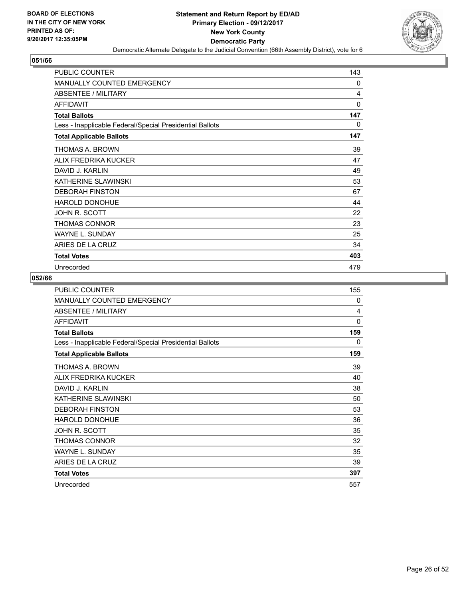

| <b>PUBLIC COUNTER</b>                                    | 143      |
|----------------------------------------------------------|----------|
| <b>MANUALLY COUNTED EMERGENCY</b>                        | 0        |
| <b>ABSENTEE / MILITARY</b>                               | 4        |
| <b>AFFIDAVIT</b>                                         | $\Omega$ |
| <b>Total Ballots</b>                                     | 147      |
| Less - Inapplicable Federal/Special Presidential Ballots | 0        |
| <b>Total Applicable Ballots</b>                          | 147      |
| THOMAS A. BROWN                                          | 39       |
| ALIX FREDRIKA KUCKER                                     | 47       |
| DAVID J. KARLIN                                          | 49       |
| KATHERINE SLAWINSKI                                      | 53       |
| <b>DEBORAH FINSTON</b>                                   | 67       |
| HAROLD DONOHUE                                           | 44       |
| JOHN R. SCOTT                                            | 22       |
| THOMAS CONNOR                                            | 23       |
| <b>WAYNE L. SUNDAY</b>                                   | 25       |
| ARIES DE LA CRUZ                                         | 34       |
| <b>Total Votes</b>                                       | 403      |
| Unrecorded                                               | 479      |

| <b>PUBLIC COUNTER</b>                                    | 155 |
|----------------------------------------------------------|-----|
| <b>MANUALLY COUNTED EMERGENCY</b>                        | 0   |
| <b>ABSENTEE / MILITARY</b>                               | 4   |
| <b>AFFIDAVIT</b>                                         | 0   |
| <b>Total Ballots</b>                                     | 159 |
| Less - Inapplicable Federal/Special Presidential Ballots | 0   |
| <b>Total Applicable Ballots</b>                          | 159 |
| THOMAS A. BROWN                                          | 39  |
| ALIX FREDRIKA KUCKER                                     | 40  |
| DAVID J. KARLIN                                          | 38  |
| KATHERINE SLAWINSKI                                      | 50  |
| <b>DEBORAH FINSTON</b>                                   | 53  |
| <b>HAROLD DONOHUE</b>                                    | 36  |
| JOHN R. SCOTT                                            | 35  |
| THOMAS CONNOR                                            | 32  |
| <b>WAYNE L. SUNDAY</b>                                   | 35  |
| ARIES DE LA CRUZ                                         | 39  |
| <b>Total Votes</b>                                       | 397 |
| Unrecorded                                               | 557 |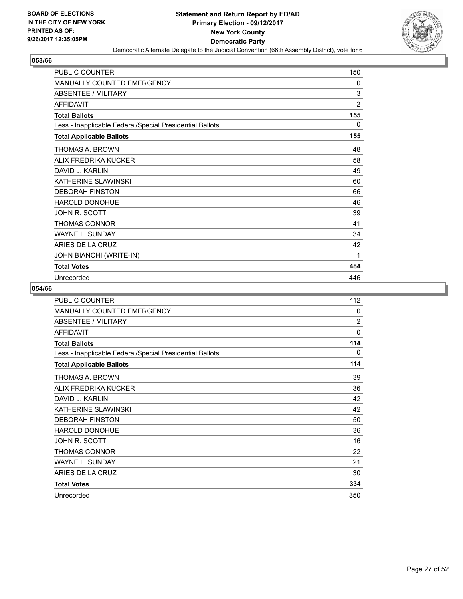

| <b>PUBLIC COUNTER</b>                                    | 150            |
|----------------------------------------------------------|----------------|
| <b>MANUALLY COUNTED EMERGENCY</b>                        | $\mathbf{0}$   |
| ABSENTEE / MILITARY                                      | 3              |
| <b>AFFIDAVIT</b>                                         | $\overline{2}$ |
| <b>Total Ballots</b>                                     | 155            |
| Less - Inapplicable Federal/Special Presidential Ballots | 0              |
| <b>Total Applicable Ballots</b>                          | 155            |
| THOMAS A. BROWN                                          | 48             |
| ALIX FREDRIKA KUCKER                                     | 58             |
| DAVID J. KARLIN                                          | 49             |
| KATHERINE SLAWINSKI                                      | 60             |
| <b>DEBORAH FINSTON</b>                                   | 66             |
| HAROLD DONOHUE                                           | 46             |
| JOHN R. SCOTT                                            | 39             |
| THOMAS CONNOR                                            | 41             |
| WAYNE L. SUNDAY                                          | 34             |
| ARIES DE LA CRUZ                                         | 42             |
| JOHN BIANCHI (WRITE-IN)                                  | 1              |
| <b>Total Votes</b>                                       | 484            |
| Unrecorded                                               | 446            |

| <b>PUBLIC COUNTER</b>                                    | 112            |
|----------------------------------------------------------|----------------|
| <b>MANUALLY COUNTED EMERGENCY</b>                        | 0              |
| <b>ABSENTEE / MILITARY</b>                               | $\overline{2}$ |
| <b>AFFIDAVIT</b>                                         | $\Omega$       |
| <b>Total Ballots</b>                                     | 114            |
| Less - Inapplicable Federal/Special Presidential Ballots | 0              |
| <b>Total Applicable Ballots</b>                          | 114            |
| THOMAS A. BROWN                                          | 39             |
| ALIX FREDRIKA KUCKER                                     | 36             |
| DAVID J. KARLIN                                          | 42             |
| KATHERINE SLAWINSKI                                      | 42             |
| <b>DEBORAH FINSTON</b>                                   | 50             |
| <b>HAROLD DONOHUE</b>                                    | 36             |
| JOHN R. SCOTT                                            | 16             |
| <b>THOMAS CONNOR</b>                                     | 22             |
| <b>WAYNE L. SUNDAY</b>                                   | 21             |
| ARIES DE LA CRUZ                                         | 30             |
| <b>Total Votes</b>                                       | 334            |
| Unrecorded                                               | 350            |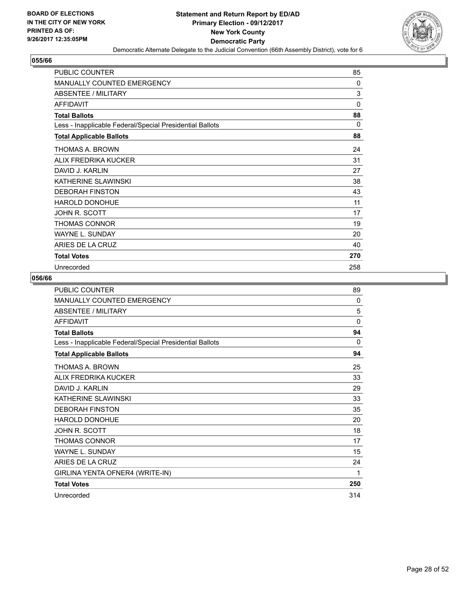

| <b>PUBLIC COUNTER</b>                                    | 85       |
|----------------------------------------------------------|----------|
| <b>MANUALLY COUNTED EMERGENCY</b>                        | $\Omega$ |
| <b>ABSENTEE / MILITARY</b>                               | 3        |
| <b>AFFIDAVIT</b>                                         | $\Omega$ |
| <b>Total Ballots</b>                                     | 88       |
| Less - Inapplicable Federal/Special Presidential Ballots | 0        |
| <b>Total Applicable Ballots</b>                          | 88       |
| THOMAS A. BROWN                                          | 24       |
| ALIX FREDRIKA KUCKER                                     | 31       |
| DAVID J. KARLIN                                          | 27       |
| KATHERINE SLAWINSKI                                      | 38       |
| <b>DEBORAH FINSTON</b>                                   | 43       |
| HAROLD DONOHUE                                           | 11       |
| JOHN R. SCOTT                                            | 17       |
| THOMAS CONNOR                                            | 19       |
| <b>WAYNE L. SUNDAY</b>                                   | 20       |
| ARIES DE LA CRUZ                                         | 40       |
| <b>Total Votes</b>                                       | 270      |
| Unrecorded                                               | 258      |

| <b>PUBLIC COUNTER</b>                                    | 89  |
|----------------------------------------------------------|-----|
| MANUALLY COUNTED EMERGENCY                               | 0   |
| ABSENTEE / MILITARY                                      | 5   |
| <b>AFFIDAVIT</b>                                         | 0   |
| <b>Total Ballots</b>                                     | 94  |
| Less - Inapplicable Federal/Special Presidential Ballots | 0   |
| <b>Total Applicable Ballots</b>                          | 94  |
| THOMAS A. BROWN                                          | 25  |
| ALIX FREDRIKA KUCKER                                     | 33  |
| DAVID J. KARLIN                                          | 29  |
| KATHERINE SLAWINSKI                                      | 33  |
| <b>DEBORAH FINSTON</b>                                   | 35  |
| <b>HAROLD DONOHUE</b>                                    | 20  |
| JOHN R. SCOTT                                            | 18  |
| <b>THOMAS CONNOR</b>                                     | 17  |
| <b>WAYNE L. SUNDAY</b>                                   | 15  |
| ARIES DE LA CRUZ                                         | 24  |
| GIRLINA YENTA OFNER4 (WRITE-IN)                          | 1   |
| <b>Total Votes</b>                                       | 250 |
| Unrecorded                                               | 314 |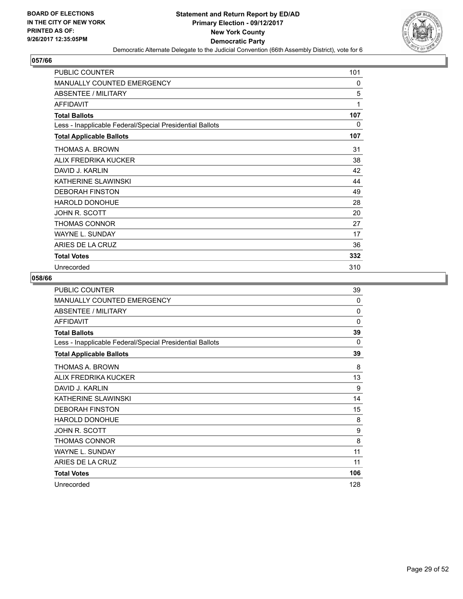

| <b>PUBLIC COUNTER</b>                                    | 101          |
|----------------------------------------------------------|--------------|
| <b>MANUALLY COUNTED EMERGENCY</b>                        | 0            |
| <b>ABSENTEE / MILITARY</b>                               | 5            |
| <b>AFFIDAVIT</b>                                         | $\mathbf{1}$ |
| <b>Total Ballots</b>                                     | 107          |
| Less - Inapplicable Federal/Special Presidential Ballots | 0            |
| <b>Total Applicable Ballots</b>                          | 107          |
| THOMAS A. BROWN                                          | 31           |
| ALIX FREDRIKA KUCKER                                     | 38           |
| DAVID J. KARLIN                                          | 42           |
| KATHERINE SLAWINSKI                                      | 44           |
| <b>DEBORAH FINSTON</b>                                   | 49           |
| <b>HAROLD DONOHUE</b>                                    | 28           |
| JOHN R. SCOTT                                            | 20           |
| THOMAS CONNOR                                            | 27           |
| <b>WAYNE L. SUNDAY</b>                                   | 17           |
| ARIES DE LA CRUZ                                         | 36           |
| <b>Total Votes</b>                                       | 332          |
| Unrecorded                                               | 310          |

| PUBLIC COUNTER                                           | 39  |
|----------------------------------------------------------|-----|
| <b>MANUALLY COUNTED EMERGENCY</b>                        | 0   |
| <b>ABSENTEE / MILITARY</b>                               | 0   |
| <b>AFFIDAVIT</b>                                         | 0   |
| <b>Total Ballots</b>                                     | 39  |
| Less - Inapplicable Federal/Special Presidential Ballots | 0   |
| <b>Total Applicable Ballots</b>                          | 39  |
| THOMAS A. BROWN                                          | 8   |
| ALIX FREDRIKA KUCKER                                     | 13  |
| DAVID J. KARLIN                                          | 9   |
| KATHERINE SLAWINSKI                                      | 14  |
| <b>DEBORAH FINSTON</b>                                   | 15  |
| <b>HAROLD DONOHUE</b>                                    | 8   |
| JOHN R. SCOTT                                            | 9   |
| THOMAS CONNOR                                            | 8   |
| <b>WAYNE L. SUNDAY</b>                                   | 11  |
| ARIES DE LA CRUZ                                         | 11  |
| <b>Total Votes</b>                                       | 106 |
| Unrecorded                                               | 128 |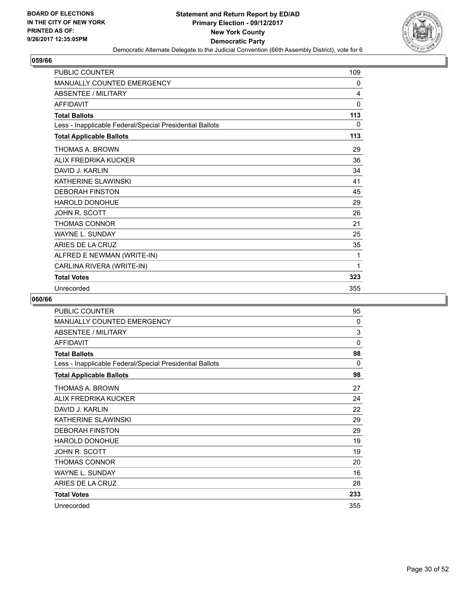

| <b>PUBLIC COUNTER</b>                                    | 109 |
|----------------------------------------------------------|-----|
| MANUALLY COUNTED EMERGENCY                               | 0   |
| <b>ABSENTEE / MILITARY</b>                               | 4   |
| <b>AFFIDAVIT</b>                                         | 0   |
| <b>Total Ballots</b>                                     | 113 |
| Less - Inapplicable Federal/Special Presidential Ballots | 0   |
| <b>Total Applicable Ballots</b>                          | 113 |
| THOMAS A. BROWN                                          | 29  |
| ALIX FREDRIKA KUCKER                                     | 36  |
| DAVID J. KARLIN                                          | 34  |
| KATHERINE SI AWINSKI                                     | 41  |
| <b>DEBORAH FINSTON</b>                                   | 45  |
| <b>HAROLD DONOHUE</b>                                    | 29  |
| <b>JOHN R. SCOTT</b>                                     | 26  |
| <b>THOMAS CONNOR</b>                                     | 21  |
| <b>WAYNE L. SUNDAY</b>                                   | 25  |
| ARIES DE LA CRUZ                                         | 35  |
| ALFRED E NEWMAN (WRITE-IN)                               | 1   |
| CARLINA RIVERA (WRITE-IN)                                | 1   |
| <b>Total Votes</b>                                       | 323 |
| Unrecorded                                               | 355 |

| <b>PUBLIC COUNTER</b>                                    | 95       |
|----------------------------------------------------------|----------|
| <b>MANUALLY COUNTED EMERGENCY</b>                        | 0        |
| ABSENTEE / MILITARY                                      | 3        |
| <b>AFFIDAVIT</b>                                         | $\Omega$ |
| <b>Total Ballots</b>                                     | 98       |
| Less - Inapplicable Federal/Special Presidential Ballots | 0        |
| <b>Total Applicable Ballots</b>                          | 98       |
| THOMAS A. BROWN                                          | 27       |
| ALIX FREDRIKA KUCKER                                     | 24       |
| DAVID J. KARLIN                                          | 22       |
| KATHERINE SLAWINSKI                                      | 29       |
| <b>DEBORAH FINSTON</b>                                   | 29       |
| <b>HAROLD DONOHUE</b>                                    | 19       |
| JOHN R. SCOTT                                            | 19       |
| THOMAS CONNOR                                            | 20       |
| <b>WAYNE L. SUNDAY</b>                                   | 16       |
| ARIES DE LA CRUZ                                         | 28       |
| <b>Total Votes</b>                                       | 233      |
| Unrecorded                                               | 355      |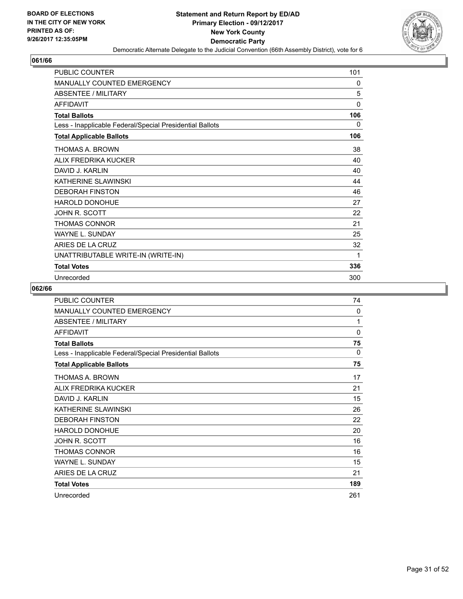

| <b>PUBLIC COUNTER</b>                                    | 101          |
|----------------------------------------------------------|--------------|
| <b>MANUALLY COUNTED EMERGENCY</b>                        | 0            |
| ABSENTEE / MILITARY                                      | 5            |
| <b>AFFIDAVIT</b>                                         | $\mathbf{0}$ |
| <b>Total Ballots</b>                                     | 106          |
| Less - Inapplicable Federal/Special Presidential Ballots | 0            |
| <b>Total Applicable Ballots</b>                          | 106          |
| THOMAS A. BROWN                                          | 38           |
| ALIX FREDRIKA KUCKER                                     | 40           |
| DAVID J. KARLIN                                          | 40           |
| KATHERINE SLAWINSKI                                      | 44           |
| <b>DEBORAH FINSTON</b>                                   | 46           |
| <b>HAROLD DONOHUE</b>                                    | 27           |
| JOHN R. SCOTT                                            | 22           |
| THOMAS CONNOR                                            | 21           |
| WAYNE L. SUNDAY                                          | 25           |
| ARIES DE LA CRUZ                                         | 32           |
| UNATTRIBUTABLE WRITE-IN (WRITE-IN)                       | 1            |
| <b>Total Votes</b>                                       | 336          |
| Unrecorded                                               | 300          |

| <b>PUBLIC COUNTER</b>                                    | 74          |
|----------------------------------------------------------|-------------|
| <b>MANUALLY COUNTED EMERGENCY</b>                        | 0           |
| ABSENTEE / MILITARY                                      | 1           |
| <b>AFFIDAVIT</b>                                         | $\mathbf 0$ |
| <b>Total Ballots</b>                                     | 75          |
| Less - Inapplicable Federal/Special Presidential Ballots | 0           |
| <b>Total Applicable Ballots</b>                          | 75          |
| THOMAS A. BROWN                                          | 17          |
| ALIX FREDRIKA KUCKER                                     | 21          |
| DAVID J. KARLIN                                          | 15          |
| KATHERINE SLAWINSKI                                      | 26          |
| <b>DEBORAH FINSTON</b>                                   | 22          |
| <b>HAROLD DONOHUE</b>                                    | 20          |
| JOHN R. SCOTT                                            | 16          |
| <b>THOMAS CONNOR</b>                                     | 16          |
| <b>WAYNE L. SUNDAY</b>                                   | 15          |
| ARIES DE LA CRUZ                                         | 21          |
| <b>Total Votes</b>                                       | 189         |
| Unrecorded                                               | 261         |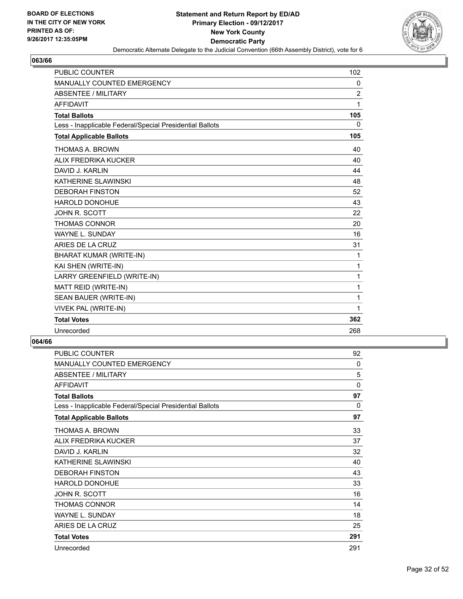

| <b>PUBLIC COUNTER</b>                                    | 102            |
|----------------------------------------------------------|----------------|
| <b>MANUALLY COUNTED EMERGENCY</b>                        | 0              |
| <b>ABSENTEE / MILITARY</b>                               | $\overline{2}$ |
| <b>AFFIDAVIT</b>                                         | 1              |
| <b>Total Ballots</b>                                     | 105            |
| Less - Inapplicable Federal/Special Presidential Ballots | 0              |
| <b>Total Applicable Ballots</b>                          | 105            |
| THOMAS A. BROWN                                          | 40             |
| ALIX FREDRIKA KUCKER                                     | 40             |
| DAVID J. KARLIN                                          | 44             |
| KATHERINE SLAWINSKI                                      | 48             |
| <b>DEBORAH FINSTON</b>                                   | 52             |
| <b>HAROLD DONOHUE</b>                                    | 43             |
| JOHN R. SCOTT                                            | 22             |
| <b>THOMAS CONNOR</b>                                     | 20             |
| <b>WAYNE L. SUNDAY</b>                                   | 16             |
| ARIES DE LA CRUZ                                         | 31             |
| BHARAT KUMAR (WRITE-IN)                                  | 1              |
| KAI SHEN (WRITE-IN)                                      | 1              |
| LARRY GREENFIELD (WRITE-IN)                              | 1              |
| MATT REID (WRITE-IN)                                     | 1              |
| SEAN BAUER (WRITE-IN)                                    | 1              |
| <b>VIVEK PAL (WRITE-IN)</b>                              | 1              |
| <b>Total Votes</b>                                       | 362            |
| Unrecorded                                               | 268            |

| <b>PUBLIC COUNTER</b>                                    | 92       |
|----------------------------------------------------------|----------|
| <b>MANUALLY COUNTED EMERGENCY</b>                        | $\Omega$ |
| ABSENTEE / MILITARY                                      | 5        |
| <b>AFFIDAVIT</b>                                         | $\Omega$ |
| <b>Total Ballots</b>                                     | 97       |
| Less - Inapplicable Federal/Special Presidential Ballots | $\Omega$ |
| <b>Total Applicable Ballots</b>                          | 97       |
| THOMAS A. BROWN                                          | 33       |
| ALIX FREDRIKA KUCKER                                     | 37       |
| DAVID J. KARLIN                                          | 32       |
| KATHERINE SLAWINSKI                                      | 40       |
| <b>DEBORAH FINSTON</b>                                   | 43       |
| <b>HAROLD DONOHUE</b>                                    | 33       |
| JOHN R. SCOTT                                            | 16       |
| THOMAS CONNOR                                            | 14       |
| <b>WAYNE L. SUNDAY</b>                                   | 18       |
| ARIES DE LA CRUZ                                         | 25       |
| <b>Total Votes</b>                                       | 291      |
| Unrecorded                                               | 291      |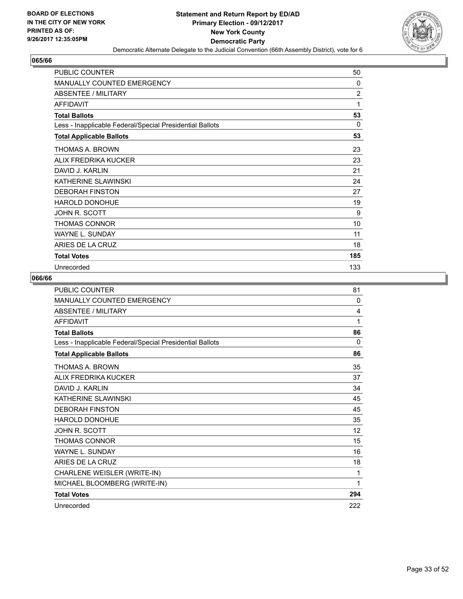

| <b>PUBLIC COUNTER</b>                                    | 50             |
|----------------------------------------------------------|----------------|
| <b>MANUALLY COUNTED EMERGENCY</b>                        | $\Omega$       |
| <b>ABSENTEE / MILITARY</b>                               | $\overline{2}$ |
| <b>AFFIDAVIT</b>                                         | 1              |
| <b>Total Ballots</b>                                     | 53             |
| Less - Inapplicable Federal/Special Presidential Ballots | 0              |
| <b>Total Applicable Ballots</b>                          | 53             |
| THOMAS A. BROWN                                          | 23             |
| ALIX FREDRIKA KUCKER                                     | 23             |
| DAVID J. KARLIN                                          | 21             |
| KATHERINE SLAWINSKI                                      | 24             |
| <b>DEBORAH FINSTON</b>                                   | 27             |
| HAROLD DONOHUE                                           | 19             |
| JOHN R. SCOTT                                            | 9              |
| THOMAS CONNOR                                            | 10             |
| <b>WAYNE L. SUNDAY</b>                                   | 11             |
| ARIES DE LA CRUZ                                         | 18             |
| <b>Total Votes</b>                                       | 185            |
| Unrecorded                                               | 133            |

| <b>PUBLIC COUNTER</b>                                    | 81       |
|----------------------------------------------------------|----------|
| <b>MANUALLY COUNTED EMERGENCY</b>                        | $\Omega$ |
| <b>ABSENTEE / MILITARY</b>                               | 4        |
| <b>AFFIDAVIT</b>                                         | 1        |
| <b>Total Ballots</b>                                     | 86       |
| Less - Inapplicable Federal/Special Presidential Ballots | $\Omega$ |
| <b>Total Applicable Ballots</b>                          | 86       |
| THOMAS A. BROWN                                          | 35       |
| ALIX FREDRIKA KUCKER                                     | 37       |
| DAVID J. KARI IN                                         | 34       |
| KATHERINE SLAWINSKI                                      | 45       |
| <b>DEBORAH FINSTON</b>                                   | 45       |
| HAROLD DONOHUE                                           | 35       |
| <b>JOHN R. SCOTT</b>                                     | 12       |
| <b>THOMAS CONNOR</b>                                     | 15       |
| <b>WAYNE L. SUNDAY</b>                                   | 16       |
| ARIES DE LA CRUZ                                         | 18       |
| CHARLENE WEISLER (WRITE-IN)                              | 1        |
| MICHAEL BLOOMBERG (WRITE-IN)                             | 1        |
| <b>Total Votes</b>                                       | 294      |
| Unrecorded                                               | 222      |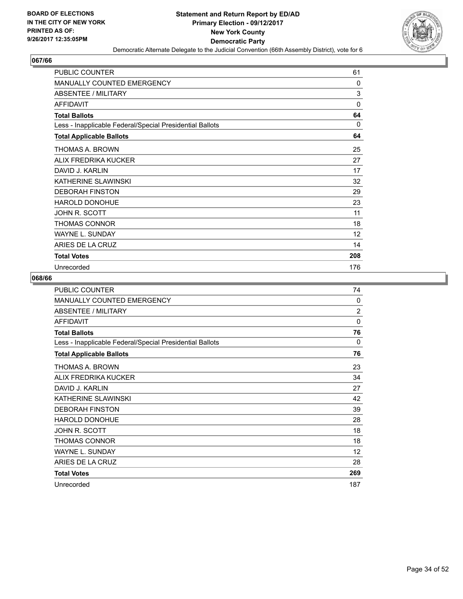

| <b>PUBLIC COUNTER</b>                                    | 61           |
|----------------------------------------------------------|--------------|
| <b>MANUALLY COUNTED EMERGENCY</b>                        | $\mathbf{0}$ |
| <b>ABSENTEE / MILITARY</b>                               | 3            |
| <b>AFFIDAVIT</b>                                         | $\mathbf{0}$ |
| <b>Total Ballots</b>                                     | 64           |
| Less - Inapplicable Federal/Special Presidential Ballots | $\Omega$     |
| <b>Total Applicable Ballots</b>                          | 64           |
| THOMAS A. BROWN                                          | 25           |
| ALIX FREDRIKA KUCKER                                     | 27           |
| DAVID J. KARLIN                                          | 17           |
| KATHERINE SLAWINSKI                                      | 32           |
| <b>DEBORAH FINSTON</b>                                   | 29           |
| <b>HAROLD DONOHUE</b>                                    | 23           |
| JOHN R. SCOTT                                            | 11           |
| THOMAS CONNOR                                            | 18           |
| <b>WAYNE L. SUNDAY</b>                                   | 12           |
| ARIES DE LA CRUZ                                         | 14           |
| <b>Total Votes</b>                                       | 208          |
| Unrecorded                                               | 176          |

| <b>PUBLIC COUNTER</b>                                    | 74             |
|----------------------------------------------------------|----------------|
| <b>MANUALLY COUNTED EMERGENCY</b>                        | 0              |
| <b>ABSENTEE / MILITARY</b>                               | $\overline{2}$ |
| <b>AFFIDAVIT</b>                                         | $\Omega$       |
| <b>Total Ballots</b>                                     | 76             |
| Less - Inapplicable Federal/Special Presidential Ballots | 0              |
| <b>Total Applicable Ballots</b>                          | 76             |
| THOMAS A. BROWN                                          | 23             |
| ALIX FREDRIKA KUCKER                                     | 34             |
| DAVID J. KARLIN                                          | 27             |
| KATHERINE SLAWINSKI                                      | 42             |
| <b>DEBORAH FINSTON</b>                                   | 39             |
| HAROLD DONOHUE                                           | 28             |
| JOHN R. SCOTT                                            | 18             |
| <b>THOMAS CONNOR</b>                                     | 18             |
| <b>WAYNE L. SUNDAY</b>                                   | 12             |
| ARIES DE LA CRUZ                                         | 28             |
| <b>Total Votes</b>                                       | 269            |
| Unrecorded                                               | 187            |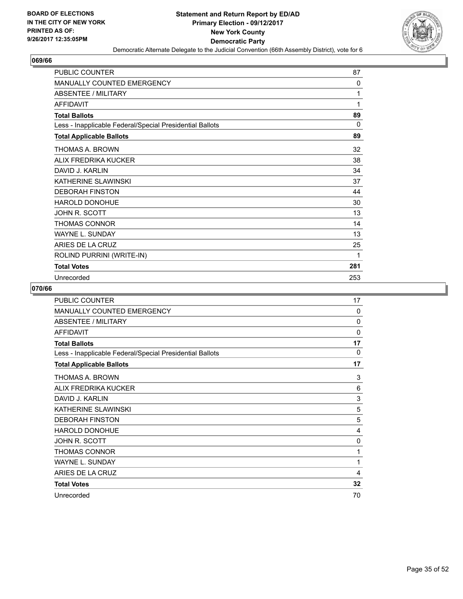

| <b>PUBLIC COUNTER</b>                                    | 87       |
|----------------------------------------------------------|----------|
| MANUALLY COUNTED EMERGENCY                               | 0        |
| <b>ABSENTEE / MILITARY</b>                               | 1        |
| <b>AFFIDAVIT</b>                                         | 1        |
| <b>Total Ballots</b>                                     | 89       |
| Less - Inapplicable Federal/Special Presidential Ballots | $\Omega$ |
| <b>Total Applicable Ballots</b>                          | 89       |
| THOMAS A. BROWN                                          | 32       |
| ALIX FREDRIKA KUCKER                                     | 38       |
| DAVID J. KARI IN                                         | 34       |
| KATHERINE SLAWINSKI                                      | 37       |
| <b>DEBORAH FINSTON</b>                                   | 44       |
| <b>HAROLD DONOHUE</b>                                    | 30       |
| JOHN R. SCOTT                                            | 13       |
| <b>THOMAS CONNOR</b>                                     | 14       |
| <b>WAYNE L. SUNDAY</b>                                   | 13       |
| ARIES DE LA CRUZ                                         | 25       |
| ROLIND PURRINI (WRITE-IN)                                | 1        |
| <b>Total Votes</b>                                       | 281      |
| Unrecorded                                               | 253      |

| <b>PUBLIC COUNTER</b>                                    | 17       |
|----------------------------------------------------------|----------|
| MANUALLY COUNTED EMERGENCY                               | $\Omega$ |
| <b>ABSENTEE / MILITARY</b>                               | 0        |
| <b>AFFIDAVIT</b>                                         | 0        |
| <b>Total Ballots</b>                                     | 17       |
| Less - Inapplicable Federal/Special Presidential Ballots | $\Omega$ |
| <b>Total Applicable Ballots</b>                          | 17       |
| THOMAS A. BROWN                                          | 3        |
| ALIX FREDRIKA KUCKER                                     | 6        |
| DAVID J. KARLIN                                          | 3        |
| KATHERINE SLAWINSKI                                      | 5        |
| <b>DEBORAH FINSTON</b>                                   | 5        |
| <b>HAROLD DONOHUE</b>                                    | 4        |
| JOHN R. SCOTT                                            | 0        |
| THOMAS CONNOR                                            | 1        |
| <b>WAYNE L. SUNDAY</b>                                   | 1        |
| ARIES DE LA CRUZ                                         | 4        |
| <b>Total Votes</b>                                       | 32       |
| Unrecorded                                               | 70       |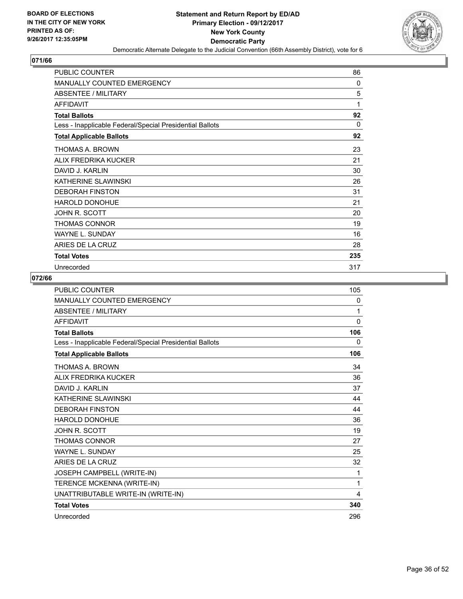

| <b>PUBLIC COUNTER</b>                                    | 86       |
|----------------------------------------------------------|----------|
| <b>MANUALLY COUNTED EMERGENCY</b>                        | $\Omega$ |
| <b>ABSENTEE / MILITARY</b>                               | 5        |
| <b>AFFIDAVIT</b>                                         | 1        |
| <b>Total Ballots</b>                                     | 92       |
| Less - Inapplicable Federal/Special Presidential Ballots | $\Omega$ |
| <b>Total Applicable Ballots</b>                          | 92       |
| THOMAS A. BROWN                                          | 23       |
| ALIX FREDRIKA KUCKER                                     | 21       |
| DAVID J. KARLIN                                          | 30       |
| KATHERINE SLAWINSKI                                      | 26       |
| <b>DEBORAH FINSTON</b>                                   | 31       |
| <b>HAROLD DONOHUE</b>                                    | 21       |
| JOHN R. SCOTT                                            | 20       |
| THOMAS CONNOR                                            | 19       |
| <b>WAYNE L. SUNDAY</b>                                   | 16       |
| ARIES DE LA CRUZ                                         | 28       |
| <b>Total Votes</b>                                       | 235      |
| Unrecorded                                               | 317      |

| <b>PUBLIC COUNTER</b>                                    | 105          |
|----------------------------------------------------------|--------------|
| MANUALLY COUNTED EMERGENCY                               | $\mathbf{0}$ |
| <b>ABSENTEE / MILITARY</b>                               | 1            |
| <b>AFFIDAVIT</b>                                         | $\mathbf{0}$ |
| <b>Total Ballots</b>                                     | 106          |
| Less - Inapplicable Federal/Special Presidential Ballots | 0            |
| <b>Total Applicable Ballots</b>                          | 106          |
| THOMAS A. BROWN                                          | 34           |
| ALIX FREDRIKA KUCKER                                     | 36           |
| DAVID J. KARI IN                                         | 37           |
| KATHERINE SLAWINSKI                                      | 44           |
| <b>DEBORAH FINSTON</b>                                   | 44           |
| <b>HAROLD DONOHUE</b>                                    | 36           |
| <b>JOHN R. SCOTT</b>                                     | 19           |
| <b>THOMAS CONNOR</b>                                     | 27           |
| <b>WAYNE L. SUNDAY</b>                                   | 25           |
| ARIES DE LA CRUZ                                         | 32           |
| JOSEPH CAMPBELL (WRITE-IN)                               | 1            |
| TERENCE MCKENNA (WRITE-IN)                               | 1            |
| UNATTRIBUTABLE WRITE-IN (WRITE-IN)                       | 4            |
| <b>Total Votes</b>                                       | 340          |
| Unrecorded                                               | 296          |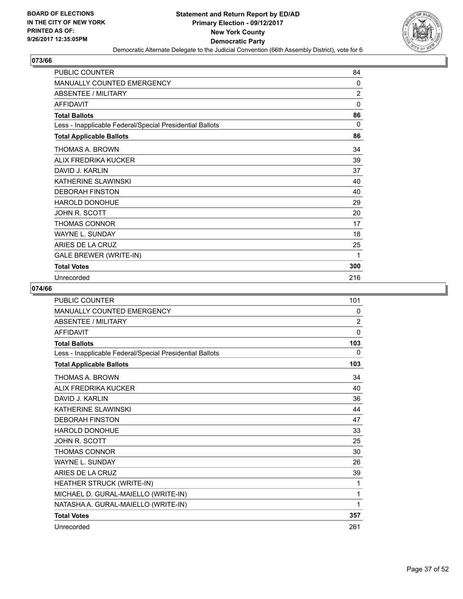

| <b>PUBLIC COUNTER</b>                                    | 84             |
|----------------------------------------------------------|----------------|
| MANUALLY COUNTED EMERGENCY                               | 0              |
| ABSENTEE / MILITARY                                      | $\overline{2}$ |
| <b>AFFIDAVIT</b>                                         | $\mathbf{0}$   |
| <b>Total Ballots</b>                                     | 86             |
| Less - Inapplicable Federal/Special Presidential Ballots | 0              |
| <b>Total Applicable Ballots</b>                          | 86             |
| THOMAS A. BROWN                                          | 34             |
| ALIX FREDRIKA KUCKER                                     | 39             |
| DAVID J. KARI IN                                         | 37             |
| KATHERINE SLAWINSKI                                      | 40             |
| <b>DEBORAH FINSTON</b>                                   | 40             |
| <b>HAROLD DONOHUE</b>                                    | 29             |
| JOHN R. SCOTT                                            | 20             |
| THOMAS CONNOR                                            | 17             |
| <b>WAYNE L. SUNDAY</b>                                   | 18             |
| ARIES DE LA CRUZ                                         | 25             |
| GALE BREWER (WRITE-IN)                                   | 1              |
| <b>Total Votes</b>                                       | 300            |
| Unrecorded                                               | 216            |

| <b>PUBLIC COUNTER</b>                                    | 101            |
|----------------------------------------------------------|----------------|
| <b>MANUALLY COUNTED EMERGENCY</b>                        | 0              |
| <b>ABSENTEE / MILITARY</b>                               | $\overline{2}$ |
| <b>AFFIDAVIT</b>                                         | 0              |
| <b>Total Ballots</b>                                     | 103            |
| Less - Inapplicable Federal/Special Presidential Ballots | 0              |
| <b>Total Applicable Ballots</b>                          | 103            |
| <b>THOMAS A. BROWN</b>                                   | 34             |
| ALIX FREDRIKA KUCKER                                     | 40             |
| DAVID J. KARLIN                                          | 36             |
| KATHERINE SLAWINSKI                                      | 44             |
| <b>DEBORAH FINSTON</b>                                   | 47             |
| <b>HAROLD DONOHUE</b>                                    | 33             |
| <b>JOHN R. SCOTT</b>                                     | 25             |
| <b>THOMAS CONNOR</b>                                     | 30             |
| <b>WAYNE L. SUNDAY</b>                                   | 26             |
| ARIES DE LA CRUZ                                         | 39             |
| HEATHER STRUCK (WRITE-IN)                                | 1              |
| MICHAEL D. GURAL-MAIELLO (WRITE-IN)                      | 1              |
| NATASHA A. GURAL-MAIELLO (WRITE-IN)                      | 1              |
| <b>Total Votes</b>                                       | 357            |
| Unrecorded                                               | 261            |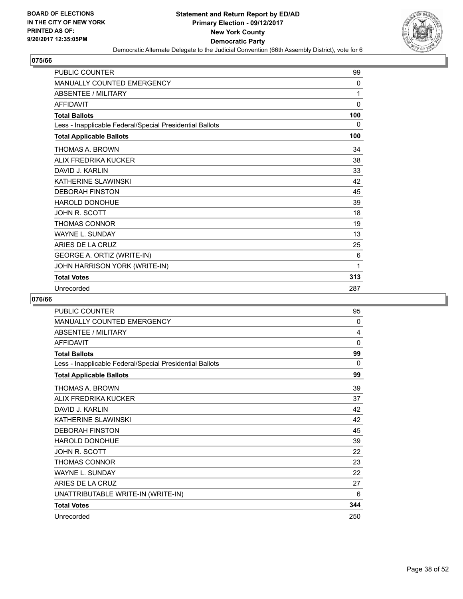

| <b>PUBLIC COUNTER</b>                                    | 99  |
|----------------------------------------------------------|-----|
| MANUALLY COUNTED EMERGENCY                               | 0   |
| <b>ABSENTEE / MILITARY</b>                               | 1   |
| <b>AFFIDAVIT</b>                                         | 0   |
| <b>Total Ballots</b>                                     | 100 |
| Less - Inapplicable Federal/Special Presidential Ballots | 0   |
| <b>Total Applicable Ballots</b>                          | 100 |
| THOMAS A. BROWN                                          | 34  |
| ALIX FREDRIKA KUCKER                                     | 38  |
| DAVID J. KARLIN                                          | 33  |
| KATHERINE SLAWINSKI                                      | 42  |
| <b>DEBORAH FINSTON</b>                                   | 45  |
| <b>HAROLD DONOHUE</b>                                    | 39  |
| <b>JOHN R. SCOTT</b>                                     | 18  |
| <b>THOMAS CONNOR</b>                                     | 19  |
| <b>WAYNE L. SUNDAY</b>                                   | 13  |
| ARIES DE LA CRUZ                                         | 25  |
| GEORGE A. ORTIZ (WRITE-IN)                               | 6   |
| JOHN HARRISON YORK (WRITE-IN)                            | 1   |
| <b>Total Votes</b>                                       | 313 |
| Unrecorded                                               | 287 |

| <b>PUBLIC COUNTER</b>                                    | 95           |
|----------------------------------------------------------|--------------|
| <b>MANUALLY COUNTED EMERGENCY</b>                        | $\mathbf{0}$ |
| ABSENTEE / MILITARY                                      | 4            |
| <b>AFFIDAVIT</b>                                         | 0            |
| <b>Total Ballots</b>                                     | 99           |
| Less - Inapplicable Federal/Special Presidential Ballots | 0            |
| <b>Total Applicable Ballots</b>                          | 99           |
| THOMAS A. BROWN                                          | 39           |
| ALIX FREDRIKA KUCKER                                     | 37           |
| DAVID J. KARLIN                                          | 42           |
| KATHERINE SLAWINSKI                                      | 42           |
| <b>DEBORAH FINSTON</b>                                   | 45           |
| <b>HAROLD DONOHUE</b>                                    | 39           |
| JOHN R. SCOTT                                            | 22           |
| <b>THOMAS CONNOR</b>                                     | 23           |
| <b>WAYNE L. SUNDAY</b>                                   | 22           |
| ARIES DE LA CRUZ                                         | 27           |
| UNATTRIBUTABLE WRITE-IN (WRITE-IN)                       | 6            |
| <b>Total Votes</b>                                       | 344          |
| Unrecorded                                               | 250          |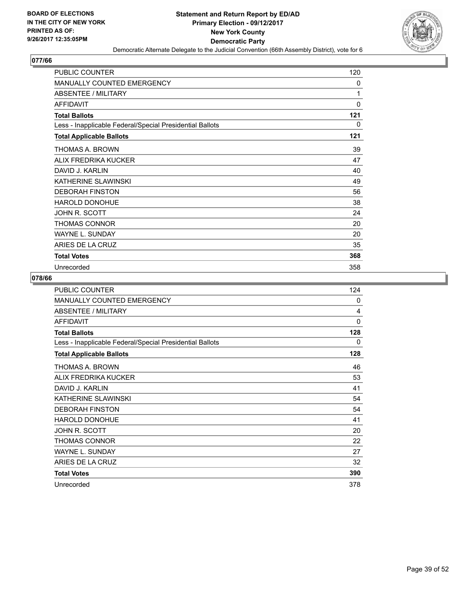

| <b>PUBLIC COUNTER</b>                                    | 120      |
|----------------------------------------------------------|----------|
| <b>MANUALLY COUNTED EMERGENCY</b>                        | 0        |
| <b>ABSENTEE / MILITARY</b>                               | 1        |
| <b>AFFIDAVIT</b>                                         | $\Omega$ |
| <b>Total Ballots</b>                                     | 121      |
| Less - Inapplicable Federal/Special Presidential Ballots | 0        |
| <b>Total Applicable Ballots</b>                          | 121      |
| THOMAS A. BROWN                                          | 39       |
| ALIX FREDRIKA KUCKER                                     | 47       |
| DAVID J. KARLIN                                          | 40       |
| KATHERINE SLAWINSKI                                      | 49       |
| <b>DEBORAH FINSTON</b>                                   | 56       |
| <b>HAROLD DONOHUE</b>                                    | 38       |
| JOHN R. SCOTT                                            | 24       |
| THOMAS CONNOR                                            | 20       |
| <b>WAYNE L. SUNDAY</b>                                   | 20       |
| ARIES DE LA CRUZ                                         | 35       |
| <b>Total Votes</b>                                       | 368      |
| Unrecorded                                               | 358      |

| <b>PUBLIC COUNTER</b>                                    | 124 |
|----------------------------------------------------------|-----|
| <b>MANUALLY COUNTED EMERGENCY</b>                        | 0   |
| <b>ABSENTEE / MILITARY</b>                               | 4   |
| <b>AFFIDAVIT</b>                                         | 0   |
| <b>Total Ballots</b>                                     | 128 |
| Less - Inapplicable Federal/Special Presidential Ballots | 0   |
| <b>Total Applicable Ballots</b>                          | 128 |
| THOMAS A. BROWN                                          | 46  |
| ALIX FREDRIKA KUCKER                                     | 53  |
| DAVID J. KARLIN                                          | 41  |
| KATHERINE SLAWINSKI                                      | 54  |
| <b>DEBORAH FINSTON</b>                                   | 54  |
| <b>HAROLD DONOHUE</b>                                    | 41  |
| JOHN R. SCOTT                                            | 20  |
| THOMAS CONNOR                                            | 22  |
| <b>WAYNE L. SUNDAY</b>                                   | 27  |
| ARIES DE LA CRUZ                                         | 32  |
| <b>Total Votes</b>                                       | 390 |
| Unrecorded                                               | 378 |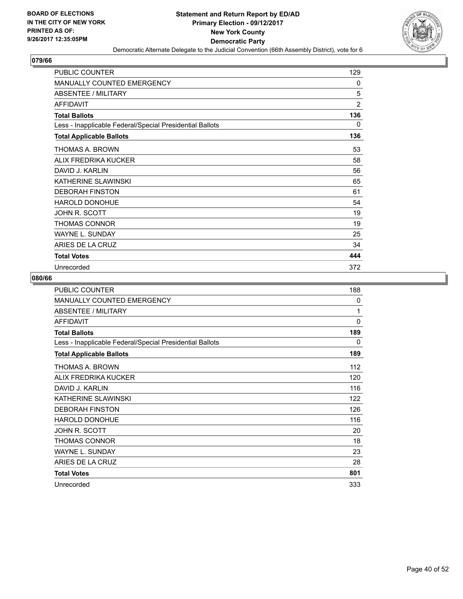

| <b>PUBLIC COUNTER</b>                                    | 129            |
|----------------------------------------------------------|----------------|
| <b>MANUALLY COUNTED EMERGENCY</b>                        | 0              |
| <b>ABSENTEE / MILITARY</b>                               | 5              |
| <b>AFFIDAVIT</b>                                         | $\overline{2}$ |
| <b>Total Ballots</b>                                     | 136            |
| Less - Inapplicable Federal/Special Presidential Ballots | 0              |
| <b>Total Applicable Ballots</b>                          | 136            |
| THOMAS A. BROWN                                          | 53             |
| ALIX FREDRIKA KUCKER                                     | 58             |
| DAVID J. KARLIN                                          | 56             |
| KATHERINE SLAWINSKI                                      | 65             |
| <b>DEBORAH FINSTON</b>                                   | 61             |
| HAROLD DONOHUE                                           | 54             |
| JOHN R. SCOTT                                            | 19             |
| THOMAS CONNOR                                            | 19             |
| <b>WAYNE L. SUNDAY</b>                                   | 25             |
| ARIES DE LA CRUZ                                         | 34             |
| <b>Total Votes</b>                                       | 444            |
| Unrecorded                                               | 372            |

| <b>PUBLIC COUNTER</b>                                    | 188      |
|----------------------------------------------------------|----------|
| <b>MANUALLY COUNTED EMERGENCY</b>                        | 0        |
| <b>ABSENTEE / MILITARY</b>                               | 1        |
| <b>AFFIDAVIT</b>                                         | $\Omega$ |
| <b>Total Ballots</b>                                     | 189      |
| Less - Inapplicable Federal/Special Presidential Ballots | 0        |
| <b>Total Applicable Ballots</b>                          | 189      |
| THOMAS A. BROWN                                          | 112      |
| ALIX FREDRIKA KUCKER                                     | 120      |
| DAVID J. KARLIN                                          | 116      |
| KATHERINE SLAWINSKI                                      | 122      |
| <b>DEBORAH FINSTON</b>                                   | 126      |
| <b>HAROLD DONOHUE</b>                                    | 116      |
| JOHN R. SCOTT                                            | 20       |
| THOMAS CONNOR                                            | 18       |
| <b>WAYNE L. SUNDAY</b>                                   | 23       |
| ARIES DE LA CRUZ                                         | 28       |
| <b>Total Votes</b>                                       | 801      |
| Unrecorded                                               | 333      |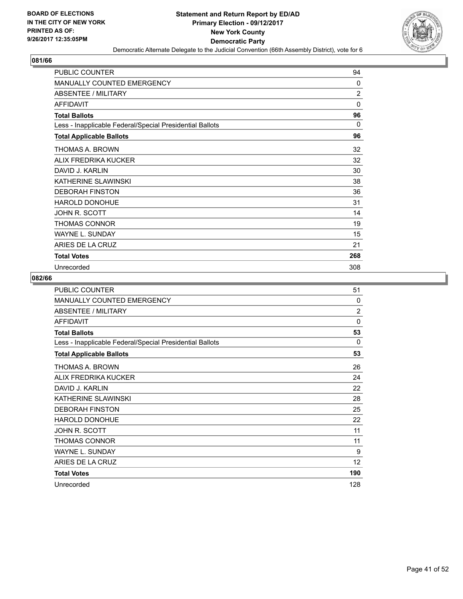

| <b>PUBLIC COUNTER</b>                                    | 94             |
|----------------------------------------------------------|----------------|
| <b>MANUALLY COUNTED EMERGENCY</b>                        | $\Omega$       |
| <b>ABSENTEE / MILITARY</b>                               | $\overline{2}$ |
| <b>AFFIDAVIT</b>                                         | $\Omega$       |
| <b>Total Ballots</b>                                     | 96             |
| Less - Inapplicable Federal/Special Presidential Ballots | 0              |
| <b>Total Applicable Ballots</b>                          | 96             |
| THOMAS A. BROWN                                          | 32             |
| ALIX FREDRIKA KUCKER                                     | 32             |
| DAVID J. KARLIN                                          | 30             |
| KATHERINE SLAWINSKI                                      | 38             |
| <b>DEBORAH FINSTON</b>                                   | 36             |
| HAROLD DONOHUE                                           | 31             |
| JOHN R. SCOTT                                            | 14             |
| THOMAS CONNOR                                            | 19             |
| <b>WAYNE L. SUNDAY</b>                                   | 15             |
| ARIES DE LA CRUZ                                         | 21             |
| <b>Total Votes</b>                                       | 268            |
| Unrecorded                                               | 308            |

| <b>PUBLIC COUNTER</b>                                    | 51             |
|----------------------------------------------------------|----------------|
| <b>MANUALLY COUNTED EMERGENCY</b>                        | 0              |
| ABSENTEE / MILITARY                                      | $\overline{2}$ |
| <b>AFFIDAVIT</b>                                         | $\Omega$       |
| <b>Total Ballots</b>                                     | 53             |
| Less - Inapplicable Federal/Special Presidential Ballots | 0              |
| <b>Total Applicable Ballots</b>                          | 53             |
| THOMAS A. BROWN                                          | 26             |
| ALIX FREDRIKA KUCKER                                     | 24             |
| DAVID J. KARI IN                                         | 22             |
| KATHERINE SLAWINSKI                                      | 28             |
| <b>DEBORAH FINSTON</b>                                   | 25             |
| <b>HAROLD DONOHUE</b>                                    | 22             |
| JOHN R. SCOTT                                            | 11             |
| <b>THOMAS CONNOR</b>                                     | 11             |
| <b>WAYNE L. SUNDAY</b>                                   | 9              |
| ARIES DE LA CRUZ                                         | 12             |
| <b>Total Votes</b>                                       | 190            |
| Unrecorded                                               | 128            |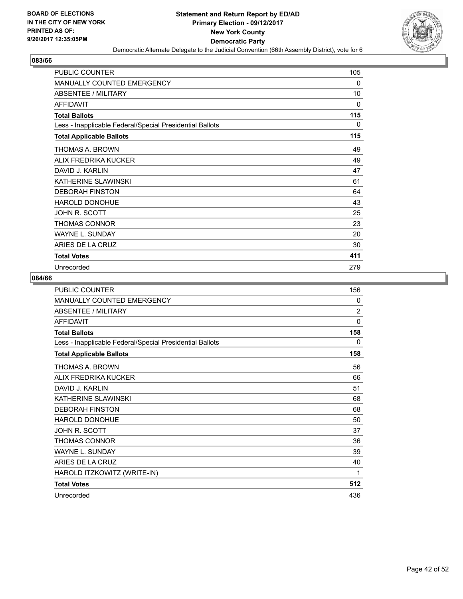

| <b>PUBLIC COUNTER</b>                                    | 105 |
|----------------------------------------------------------|-----|
| <b>MANUALLY COUNTED EMERGENCY</b>                        | 0   |
| <b>ABSENTEE / MILITARY</b>                               | 10  |
| <b>AFFIDAVIT</b>                                         | 0   |
| <b>Total Ballots</b>                                     | 115 |
| Less - Inapplicable Federal/Special Presidential Ballots | 0   |
| <b>Total Applicable Ballots</b>                          | 115 |
| THOMAS A. BROWN                                          | 49  |
| ALIX FREDRIKA KUCKER                                     | 49  |
| DAVID J. KARLIN                                          | 47  |
| KATHERINE SLAWINSKI                                      | 61  |
| <b>DEBORAH FINSTON</b>                                   | 64  |
| <b>HAROLD DONOHUE</b>                                    | 43  |
| JOHN R. SCOTT                                            | 25  |
| <b>THOMAS CONNOR</b>                                     | 23  |
| <b>WAYNE L. SUNDAY</b>                                   | 20  |
| ARIES DE LA CRUZ                                         | 30  |
| <b>Total Votes</b>                                       | 411 |
| Unrecorded                                               | 279 |

| <b>PUBLIC COUNTER</b>                                    | 156            |
|----------------------------------------------------------|----------------|
| MANUALLY COUNTED EMERGENCY                               | 0              |
| <b>ABSENTEE / MILITARY</b>                               | $\overline{2}$ |
| <b>AFFIDAVIT</b>                                         | 0              |
| <b>Total Ballots</b>                                     | 158            |
| Less - Inapplicable Federal/Special Presidential Ballots | 0              |
| <b>Total Applicable Ballots</b>                          | 158            |
| THOMAS A. BROWN                                          | 56             |
| ALIX FREDRIKA KUCKER                                     | 66             |
| DAVID J. KARLIN                                          | 51             |
| KATHERINE SLAWINSKI                                      | 68             |
| <b>DEBORAH FINSTON</b>                                   | 68             |
| HAROLD DONOHUE                                           | 50             |
| JOHN R. SCOTT                                            | 37             |
| <b>THOMAS CONNOR</b>                                     | 36             |
| <b>WAYNE L. SUNDAY</b>                                   | 39             |
| ARIES DE LA CRUZ                                         | 40             |
| HAROLD ITZKOWITZ (WRITE-IN)                              | 1              |
| <b>Total Votes</b>                                       | 512            |
| Unrecorded                                               | 436            |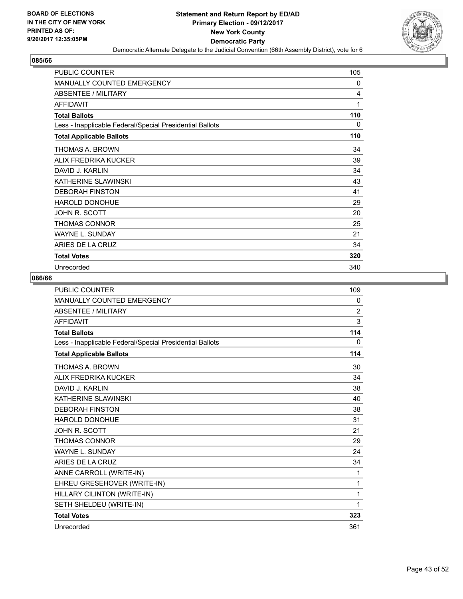

| <b>PUBLIC COUNTER</b>                                    | 105 |
|----------------------------------------------------------|-----|
| <b>MANUALLY COUNTED EMERGENCY</b>                        | 0   |
| <b>ABSENTEE / MILITARY</b>                               | 4   |
| <b>AFFIDAVIT</b>                                         | 1   |
| <b>Total Ballots</b>                                     | 110 |
| Less - Inapplicable Federal/Special Presidential Ballots | 0   |
| <b>Total Applicable Ballots</b>                          | 110 |
| THOMAS A. BROWN                                          | 34  |
| ALIX FREDRIKA KUCKER                                     | 39  |
| DAVID J. KARLIN                                          | 34  |
| KATHERINE SLAWINSKI                                      | 43  |
| <b>DEBORAH FINSTON</b>                                   | 41  |
| HAROLD DONOHUE                                           | 29  |
| JOHN R. SCOTT                                            | 20  |
| THOMAS CONNOR                                            | 25  |
| <b>WAYNE L. SUNDAY</b>                                   | 21  |
| ARIES DE LA CRUZ                                         | 34  |
| <b>Total Votes</b>                                       | 320 |
| Unrecorded                                               | 340 |

| <b>PUBLIC COUNTER</b>                                    | 109            |
|----------------------------------------------------------|----------------|
| <b>MANUALLY COUNTED EMERGENCY</b>                        | 0              |
| <b>ABSENTEE / MILITARY</b>                               | $\overline{2}$ |
| <b>AFFIDAVIT</b>                                         | 3              |
| <b>Total Ballots</b>                                     | 114            |
| Less - Inapplicable Federal/Special Presidential Ballots | 0              |
| <b>Total Applicable Ballots</b>                          | 114            |
| THOMAS A. BROWN                                          | 30             |
| ALIX FREDRIKA KUCKER                                     | 34             |
| DAVID J. KARI IN                                         | 38             |
| KATHERINE SLAWINSKI                                      | 40             |
| <b>DEBORAH FINSTON</b>                                   | 38             |
| <b>HAROLD DONOHUE</b>                                    | 31             |
| <b>JOHN R. SCOTT</b>                                     | 21             |
| <b>THOMAS CONNOR</b>                                     | 29             |
| <b>WAYNE L. SUNDAY</b>                                   | 24             |
| ARIES DE LA CRUZ                                         | 34             |
| ANNE CARROLL (WRITE-IN)                                  | 1              |
| EHREU GRESEHOVER (WRITE-IN)                              | 1              |
| HILLARY CILINTON (WRITE-IN)                              | 1              |
| SETH SHELDEU (WRITE-IN)                                  | 1              |
| <b>Total Votes</b>                                       | 323            |
| Unrecorded                                               | 361            |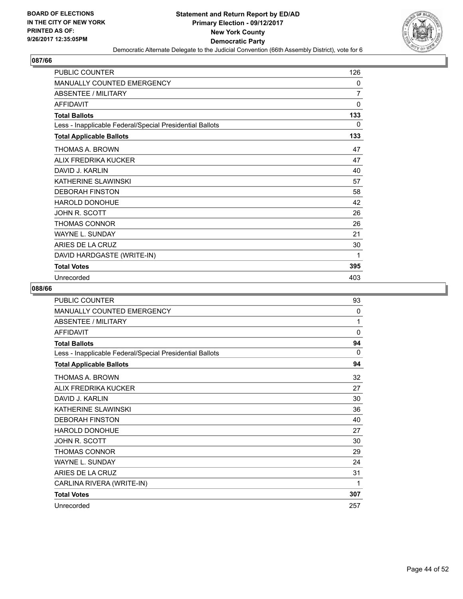

| <b>PUBLIC COUNTER</b>                                    | 126            |
|----------------------------------------------------------|----------------|
| <b>MANUALLY COUNTED EMERGENCY</b>                        | $\mathbf{0}$   |
| ABSENTEE / MILITARY                                      | $\overline{7}$ |
| <b>AFFIDAVIT</b>                                         | $\Omega$       |
| <b>Total Ballots</b>                                     | 133            |
| Less - Inapplicable Federal/Special Presidential Ballots | 0              |
| <b>Total Applicable Ballots</b>                          | 133            |
| THOMAS A. BROWN                                          | 47             |
| ALIX FREDRIKA KUCKER                                     | 47             |
| DAVID J. KARLIN                                          | 40             |
| KATHERINE SLAWINSKI                                      | 57             |
| <b>DEBORAH FINSTON</b>                                   | 58             |
| HAROLD DONOHUE                                           | 42             |
| JOHN R. SCOTT                                            | 26             |
| THOMAS CONNOR                                            | 26             |
| <b>WAYNE L. SUNDAY</b>                                   | 21             |
| ARIES DE LA CRUZ                                         | 30             |
| DAVID HARDGASTE (WRITE-IN)                               | 1              |
| <b>Total Votes</b>                                       | 395            |
| Unrecorded                                               | 403            |

| <b>PUBLIC COUNTER</b>                                    | 93  |
|----------------------------------------------------------|-----|
| MANUALLY COUNTED EMERGENCY                               | 0   |
| <b>ABSENTEE / MILITARY</b>                               | 1   |
| <b>AFFIDAVIT</b>                                         | 0   |
| <b>Total Ballots</b>                                     | 94  |
| Less - Inapplicable Federal/Special Presidential Ballots | 0   |
| <b>Total Applicable Ballots</b>                          | 94  |
| THOMAS A. BROWN                                          | 32  |
| ALIX FREDRIKA KUCKER                                     | 27  |
| DAVID J. KARLIN                                          | 30  |
| KATHERINE SLAWINSKI                                      | 36  |
| <b>DEBORAH FINSTON</b>                                   | 40  |
| <b>HAROLD DONOHUE</b>                                    | 27  |
| JOHN R. SCOTT                                            | 30  |
| <b>THOMAS CONNOR</b>                                     | 29  |
| <b>WAYNE L. SUNDAY</b>                                   | 24  |
| ARIES DE LA CRUZ                                         | 31  |
| CARLINA RIVERA (WRITE-IN)                                | 1   |
| <b>Total Votes</b>                                       | 307 |
| Unrecorded                                               | 257 |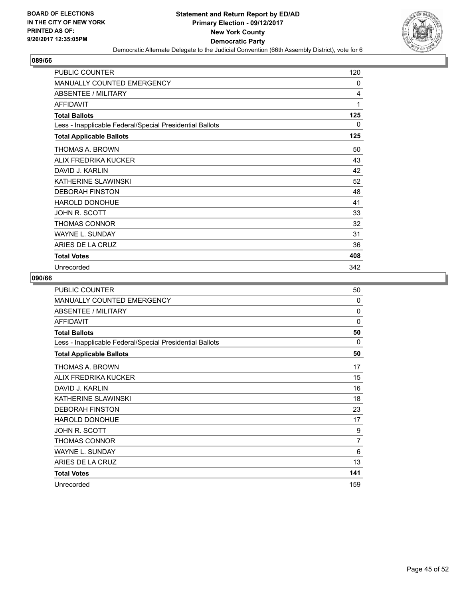

| <b>PUBLIC COUNTER</b>                                    | 120 |
|----------------------------------------------------------|-----|
| <b>MANUALLY COUNTED EMERGENCY</b>                        | 0   |
| <b>ABSENTEE / MILITARY</b>                               | 4   |
| <b>AFFIDAVIT</b>                                         | 1   |
| <b>Total Ballots</b>                                     | 125 |
| Less - Inapplicable Federal/Special Presidential Ballots | 0   |
| <b>Total Applicable Ballots</b>                          | 125 |
| THOMAS A. BROWN                                          | 50  |
| ALIX FREDRIKA KUCKER                                     | 43  |
| DAVID J. KARLIN                                          | 42  |
| KATHERINE SLAWINSKI                                      | 52  |
| <b>DEBORAH FINSTON</b>                                   | 48  |
| HAROLD DONOHUE                                           | 41  |
| JOHN R. SCOTT                                            | 33  |
| THOMAS CONNOR                                            | 32  |
| <b>WAYNE L. SUNDAY</b>                                   | 31  |
| ARIES DE LA CRUZ                                         | 36  |
| <b>Total Votes</b>                                       | 408 |
| Unrecorded                                               | 342 |

| PUBLIC COUNTER                                           | 50       |
|----------------------------------------------------------|----------|
| <b>MANUALLY COUNTED EMERGENCY</b>                        | $\Omega$ |
| <b>ABSENTEE / MILITARY</b>                               | $\Omega$ |
| <b>AFFIDAVIT</b>                                         | $\Omega$ |
| <b>Total Ballots</b>                                     | 50       |
| Less - Inapplicable Federal/Special Presidential Ballots | 0        |
| <b>Total Applicable Ballots</b>                          | 50       |
| THOMAS A. BROWN                                          | 17       |
| ALIX FREDRIKA KUCKER                                     | 15       |
| DAVID J. KARLIN                                          | 16       |
| KATHERINE SLAWINSKI                                      | 18       |
| <b>DEBORAH FINSTON</b>                                   | 23       |
| <b>HAROLD DONOHUE</b>                                    | 17       |
| JOHN R. SCOTT                                            | 9        |
| THOMAS CONNOR                                            | 7        |
| <b>WAYNE L. SUNDAY</b>                                   | 6        |
| ARIES DE LA CRUZ                                         | 13       |
| <b>Total Votes</b>                                       | 141      |
| Unrecorded                                               | 159      |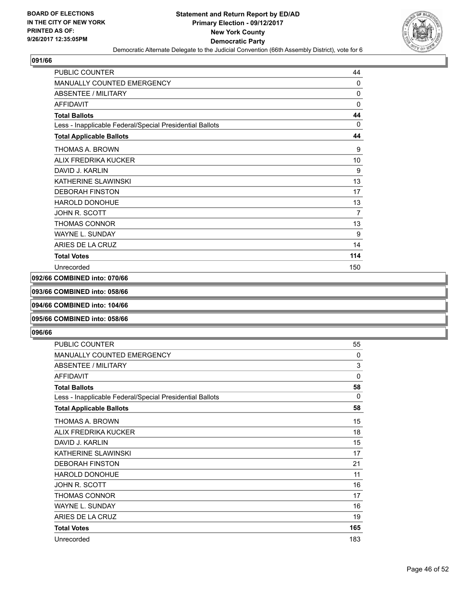

| <b>PUBLIC COUNTER</b>                                    | 44           |
|----------------------------------------------------------|--------------|
| <b>MANUALLY COUNTED EMERGENCY</b>                        | $\mathbf{0}$ |
| ABSENTEE / MILITARY                                      | 0            |
| <b>AFFIDAVIT</b>                                         | 0            |
| <b>Total Ballots</b>                                     | 44           |
| Less - Inapplicable Federal/Special Presidential Ballots | $\Omega$     |
| <b>Total Applicable Ballots</b>                          | 44           |
| THOMAS A. BROWN                                          | 9            |
| ALIX FREDRIKA KUCKER                                     | 10           |
| DAVID J. KARLIN                                          | 9            |
| KATHERINE SLAWINSKI                                      | 13           |
| <b>DEBORAH FINSTON</b>                                   | 17           |
| <b>HAROLD DONOHUE</b>                                    | 13           |
| JOHN R. SCOTT                                            | 7            |
| <b>THOMAS CONNOR</b>                                     | 13           |
| <b>WAYNE L. SUNDAY</b>                                   | 9            |
| ARIES DE LA CRUZ                                         | 14           |
| <b>Total Votes</b>                                       | 114          |
| Unrecorded                                               | 150          |

# **092/66 COMBINED into: 070/66**

**093/66 COMBINED into: 058/66**

#### **094/66 COMBINED into: 104/66**

## **095/66 COMBINED into: 058/66**

| PUBLIC COUNTER                                           | 55       |
|----------------------------------------------------------|----------|
| MANUALLY COUNTED EMERGENCY                               | 0        |
| <b>ABSENTEE / MILITARY</b>                               | 3        |
| <b>AFFIDAVIT</b>                                         | $\Omega$ |
| <b>Total Ballots</b>                                     | 58       |
| Less - Inapplicable Federal/Special Presidential Ballots | 0        |
| <b>Total Applicable Ballots</b>                          | 58       |
| THOMAS A. BROWN                                          | 15       |
| ALIX FREDRIKA KUCKER                                     | 18       |
| DAVID J. KARLIN                                          | 15       |
| KATHERINE SLAWINSKI                                      | 17       |
| <b>DEBORAH FINSTON</b>                                   | 21       |
| <b>HAROLD DONOHUE</b>                                    | 11       |
| JOHN R. SCOTT                                            | 16       |
| <b>THOMAS CONNOR</b>                                     | 17       |
| <b>WAYNE L. SUNDAY</b>                                   | 16       |
| ARIES DE LA CRUZ                                         | 19       |
| <b>Total Votes</b>                                       | 165      |
| Unrecorded                                               | 183      |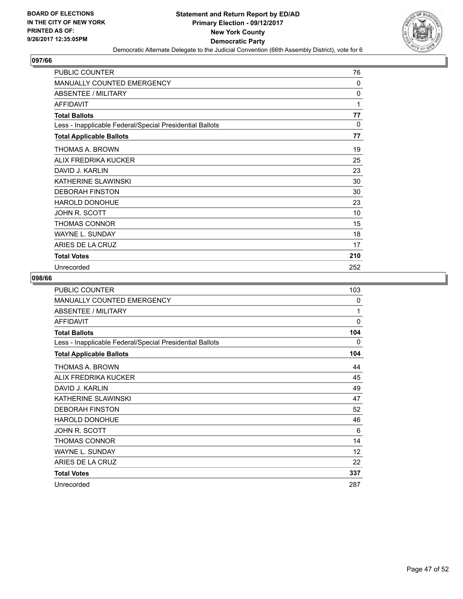

| <b>PUBLIC COUNTER</b>                                    | 76           |
|----------------------------------------------------------|--------------|
| <b>MANUALLY COUNTED EMERGENCY</b>                        | $\mathbf{0}$ |
| <b>ABSENTEE / MILITARY</b>                               | $\mathbf{0}$ |
| <b>AFFIDAVIT</b>                                         | 1            |
| <b>Total Ballots</b>                                     | 77           |
| Less - Inapplicable Federal/Special Presidential Ballots | 0            |
| <b>Total Applicable Ballots</b>                          | 77           |
| THOMAS A. BROWN                                          | 19           |
| ALIX FREDRIKA KUCKER                                     | 25           |
| DAVID J. KARLIN                                          | 23           |
| KATHERINE SLAWINSKI                                      | 30           |
| <b>DEBORAH FINSTON</b>                                   | 30           |
| <b>HAROLD DONOHUE</b>                                    | 23           |
| JOHN R. SCOTT                                            | 10           |
| THOMAS CONNOR                                            | 15           |
| <b>WAYNE L. SUNDAY</b>                                   | 18           |
| ARIES DE LA CRUZ                                         | 17           |
| <b>Total Votes</b>                                       | 210          |
| Unrecorded                                               | 252          |

| <b>PUBLIC COUNTER</b>                                    | 103      |
|----------------------------------------------------------|----------|
| <b>MANUALLY COUNTED EMERGENCY</b>                        | 0        |
| ABSENTEE / MILITARY                                      | 1        |
| <b>AFFIDAVIT</b>                                         | $\Omega$ |
| <b>Total Ballots</b>                                     | 104      |
| Less - Inapplicable Federal/Special Presidential Ballots | 0        |
| <b>Total Applicable Ballots</b>                          | 104      |
| THOMAS A. BROWN                                          | 44       |
| ALIX FREDRIKA KUCKER                                     | 45       |
| DAVID J. KARI IN                                         | 49       |
| KATHERINE SLAWINSKI                                      | 47       |
| <b>DEBORAH FINSTON</b>                                   | 52       |
| <b>HAROLD DONOHUE</b>                                    | 46       |
| JOHN R. SCOTT                                            | 6        |
| <b>THOMAS CONNOR</b>                                     | 14       |
| <b>WAYNE L. SUNDAY</b>                                   | 12       |
| ARIES DE LA CRUZ                                         | 22       |
| <b>Total Votes</b>                                       | 337      |
| Unrecorded                                               | 287      |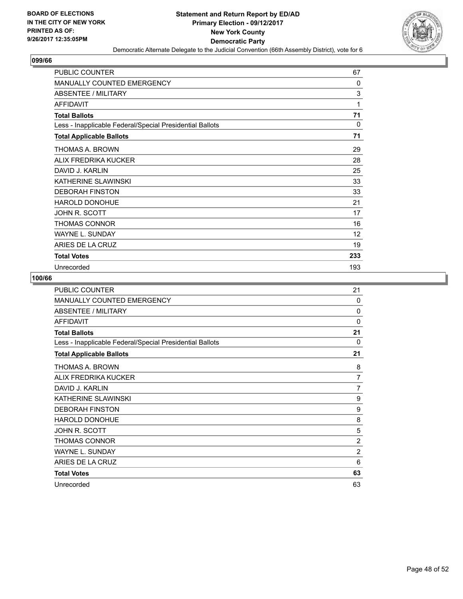

| <b>PUBLIC COUNTER</b>                                    | 67           |
|----------------------------------------------------------|--------------|
| <b>MANUALLY COUNTED EMERGENCY</b>                        | $\mathbf{0}$ |
| <b>ABSENTEE / MILITARY</b>                               | 3            |
| <b>AFFIDAVIT</b>                                         | 1            |
| <b>Total Ballots</b>                                     | 71           |
| Less - Inapplicable Federal/Special Presidential Ballots | 0            |
| <b>Total Applicable Ballots</b>                          | 71           |
| THOMAS A. BROWN                                          | 29           |
| ALIX FREDRIKA KUCKER                                     | 28           |
| DAVID J. KARLIN                                          | 25           |
| KATHERINE SLAWINSKI                                      | 33           |
| <b>DEBORAH FINSTON</b>                                   | 33           |
| <b>HAROLD DONOHUE</b>                                    | 21           |
| JOHN R. SCOTT                                            | 17           |
| THOMAS CONNOR                                            | 16           |
| <b>WAYNE L. SUNDAY</b>                                   | 12           |
| ARIES DE LA CRUZ                                         | 19           |
| <b>Total Votes</b>                                       | 233          |
| Unrecorded                                               | 193          |

| PUBLIC COUNTER                                           | 21             |
|----------------------------------------------------------|----------------|
| <b>MANUALLY COUNTED EMERGENCY</b>                        | 0              |
| <b>ABSENTEE / MILITARY</b>                               | 0              |
| <b>AFFIDAVIT</b>                                         | 0              |
| <b>Total Ballots</b>                                     | 21             |
| Less - Inapplicable Federal/Special Presidential Ballots | 0              |
| <b>Total Applicable Ballots</b>                          | 21             |
| THOMAS A. BROWN                                          | 8              |
| ALIX FREDRIKA KUCKER                                     | $\overline{7}$ |
| DAVID J. KARLIN                                          | 7              |
| KATHERINE SLAWINSKI                                      | 9              |
| <b>DEBORAH FINSTON</b>                                   | 9              |
| <b>HAROLD DONOHUE</b>                                    | 8              |
| JOHN R. SCOTT                                            | 5              |
| <b>THOMAS CONNOR</b>                                     | $\overline{2}$ |
| <b>WAYNE L. SUNDAY</b>                                   | $\overline{2}$ |
| ARIES DE LA CRUZ                                         | 6              |
| <b>Total Votes</b>                                       | 63             |
| Unrecorded                                               | 63             |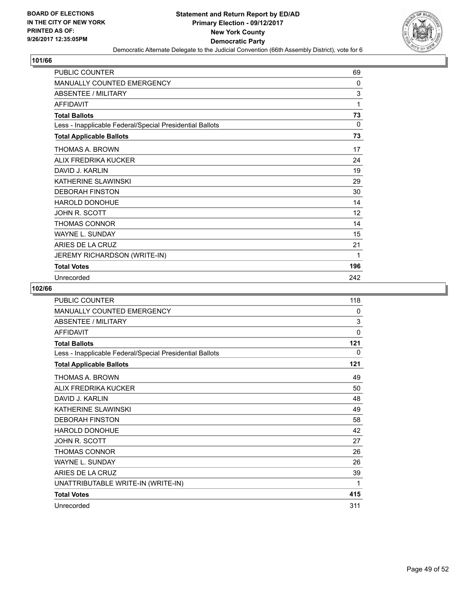

| <b>PUBLIC COUNTER</b>                                    | 69           |
|----------------------------------------------------------|--------------|
| <b>MANUALLY COUNTED EMERGENCY</b>                        | $\mathbf{0}$ |
| ABSENTEE / MILITARY                                      | 3            |
| <b>AFFIDAVIT</b>                                         | 1            |
| <b>Total Ballots</b>                                     | 73           |
| Less - Inapplicable Federal/Special Presidential Ballots | 0            |
| <b>Total Applicable Ballots</b>                          | 73           |
| THOMAS A. BROWN                                          | 17           |
| ALIX FREDRIKA KUCKER                                     | 24           |
| DAVID J. KARLIN                                          | 19           |
| KATHERINE SLAWINSKI                                      | 29           |
| <b>DEBORAH FINSTON</b>                                   | 30           |
| <b>HAROLD DONOHUE</b>                                    | 14           |
| JOHN R. SCOTT                                            | 12           |
| THOMAS CONNOR                                            | 14           |
| <b>WAYNE L. SUNDAY</b>                                   | 15           |
| ARIES DE LA CRUZ                                         | 21           |
| <b>JEREMY RICHARDSON (WRITE-IN)</b>                      | 1            |
| <b>Total Votes</b>                                       | 196          |
| Unrecorded                                               | 242          |

| <b>PUBLIC COUNTER</b>                                    | 118 |
|----------------------------------------------------------|-----|
| <b>MANUALLY COUNTED EMERGENCY</b>                        | 0   |
| <b>ABSENTEE / MILITARY</b>                               | 3   |
| <b>AFFIDAVIT</b>                                         | 0   |
| <b>Total Ballots</b>                                     | 121 |
| Less - Inapplicable Federal/Special Presidential Ballots | 0   |
| <b>Total Applicable Ballots</b>                          | 121 |
| THOMAS A. BROWN                                          | 49  |
| ALIX FREDRIKA KUCKER                                     | 50  |
| DAVID J. KARLIN                                          | 48  |
| KATHERINE SLAWINSKI                                      | 49  |
| <b>DEBORAH FINSTON</b>                                   | 58  |
| <b>HAROLD DONOHUE</b>                                    | 42  |
| JOHN R. SCOTT                                            | 27  |
| <b>THOMAS CONNOR</b>                                     | 26  |
| <b>WAYNE L. SUNDAY</b>                                   | 26  |
| ARIES DE LA CRUZ                                         | 39  |
| UNATTRIBUTABLE WRITE-IN (WRITE-IN)                       | 1   |
| <b>Total Votes</b>                                       | 415 |
| Unrecorded                                               | 311 |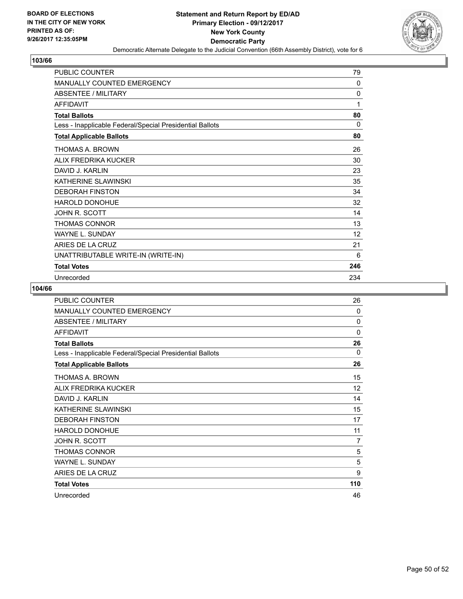

| <b>PUBLIC COUNTER</b>                                    | 79  |
|----------------------------------------------------------|-----|
| <b>MANUALLY COUNTED EMERGENCY</b>                        | 0   |
| <b>ABSENTEE / MILITARY</b>                               | 0   |
| <b>AFFIDAVIT</b>                                         | 1   |
| <b>Total Ballots</b>                                     | 80  |
| Less - Inapplicable Federal/Special Presidential Ballots | 0   |
| <b>Total Applicable Ballots</b>                          | 80  |
| THOMAS A. BROWN                                          | 26  |
| ALIX FREDRIKA KUCKER                                     | 30  |
| DAVID J. KARI IN                                         | 23  |
| KATHERINE SLAWINSKI                                      | 35  |
| <b>DEBORAH FINSTON</b>                                   | 34  |
| <b>HAROLD DONOHUE</b>                                    | 32  |
| JOHN R. SCOTT                                            | 14  |
| THOMAS CONNOR                                            | 13  |
| <b>WAYNE L. SUNDAY</b>                                   | 12  |
| ARIES DE LA CRUZ                                         | 21  |
| UNATTRIBUTABLE WRITE-IN (WRITE-IN)                       | 6   |
| <b>Total Votes</b>                                       | 246 |
| Unrecorded                                               | 234 |

| <b>PUBLIC COUNTER</b>                                    | 26  |
|----------------------------------------------------------|-----|
| <b>MANUALLY COUNTED EMERGENCY</b>                        | 0   |
| ABSENTEE / MILITARY                                      | 0   |
| <b>AFFIDAVIT</b>                                         | 0   |
| <b>Total Ballots</b>                                     | 26  |
| Less - Inapplicable Federal/Special Presidential Ballots | 0   |
| <b>Total Applicable Ballots</b>                          | 26  |
| THOMAS A. BROWN                                          | 15  |
| ALIX FREDRIKA KUCKER                                     | 12  |
| DAVID J. KARLIN                                          | 14  |
| KATHERINE SLAWINSKI                                      | 15  |
| <b>DEBORAH FINSTON</b>                                   | 17  |
| <b>HAROLD DONOHUE</b>                                    | 11  |
| JOHN R. SCOTT                                            | 7   |
| <b>THOMAS CONNOR</b>                                     | 5   |
| <b>WAYNE L. SUNDAY</b>                                   | 5   |
| ARIES DE LA CRUZ                                         | 9   |
| <b>Total Votes</b>                                       | 110 |
| Unrecorded                                               | 46  |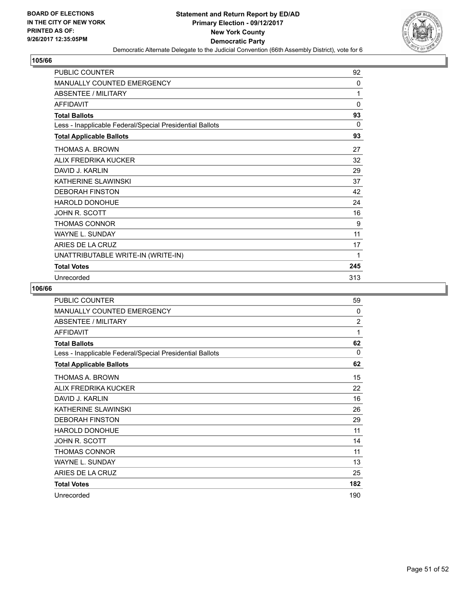

| <b>PUBLIC COUNTER</b>                                    | 92           |
|----------------------------------------------------------|--------------|
| <b>MANUALLY COUNTED EMERGENCY</b>                        | 0            |
| <b>ABSENTEE / MILITARY</b>                               | 1            |
| <b>AFFIDAVIT</b>                                         | $\mathbf{0}$ |
| <b>Total Ballots</b>                                     | 93           |
| Less - Inapplicable Federal/Special Presidential Ballots | 0            |
| <b>Total Applicable Ballots</b>                          | 93           |
| THOMAS A. BROWN                                          | 27           |
| ALIX FREDRIKA KUCKER                                     | 32           |
| DAVID J. KARI IN                                         | 29           |
| KATHERINE SLAWINSKI                                      | 37           |
| <b>DEBORAH FINSTON</b>                                   | 42           |
| <b>HAROLD DONOHUE</b>                                    | 24           |
| JOHN R. SCOTT                                            | 16           |
| THOMAS CONNOR                                            | 9            |
| <b>WAYNE L. SUNDAY</b>                                   | 11           |
| ARIES DE LA CRUZ                                         | 17           |
| UNATTRIBUTABLE WRITE-IN (WRITE-IN)                       | 1            |
| <b>Total Votes</b>                                       | 245          |
| Unrecorded                                               | 313          |

| PUBLIC COUNTER                                           | 59             |
|----------------------------------------------------------|----------------|
| <b>MANUALLY COUNTED EMERGENCY</b>                        | $\mathbf{0}$   |
| ABSENTEE / MILITARY                                      | $\overline{2}$ |
| <b>AFFIDAVIT</b>                                         | 1              |
| <b>Total Ballots</b>                                     | 62             |
| Less - Inapplicable Federal/Special Presidential Ballots | $\Omega$       |
| <b>Total Applicable Ballots</b>                          | 62             |
| THOMAS A. BROWN                                          | 15             |
| ALIX FREDRIKA KUCKER                                     | 22             |
| DAVID J. KARLIN                                          | 16             |
| KATHERINE SLAWINSKI                                      | 26             |
| <b>DEBORAH FINSTON</b>                                   | 29             |
| <b>HAROLD DONOHUE</b>                                    | 11             |
| JOHN R. SCOTT                                            | 14             |
| <b>THOMAS CONNOR</b>                                     | 11             |
| <b>WAYNE L. SUNDAY</b>                                   | 13             |
| ARIES DE LA CRUZ                                         | 25             |
| <b>Total Votes</b>                                       | 182            |
| Unrecorded                                               | 190            |